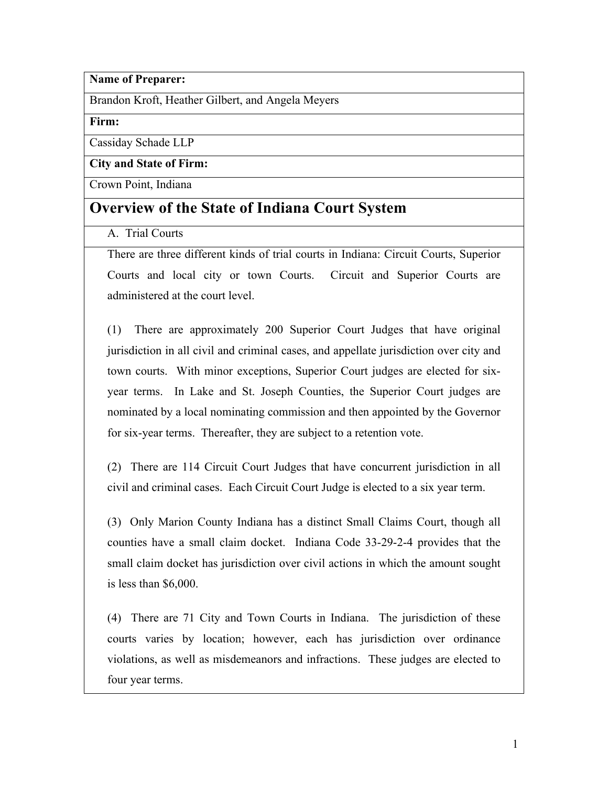**Name of Preparer:**

Brandon Kroft, Heather Gilbert, and Angela Meyers

**Firm:**

Cassiday Schade LLP

**City and State of Firm:**

Crown Point, Indiana

# **Overview of the State of Indiana Court System**

A. Trial Courts

There are three different kinds of trial courts in Indiana: Circuit Courts, Superior Courts and local city or town Courts. Circuit and Superior Courts are administered at the court level.

(1) There are approximately 200 Superior Court Judges that have original jurisdiction in all civil and criminal cases, and appellate jurisdiction over city and town courts. With minor exceptions, Superior Court judges are elected for sixyear terms. In Lake and St. Joseph Counties, the Superior Court judges are nominated by a local nominating commission and then appointed by the Governor for six-year terms. Thereafter, they are subject to a retention vote.

(2) There are 114 Circuit Court Judges that have concurrent jurisdiction in all civil and criminal cases. Each Circuit Court Judge is elected to a six year term.

(3) Only Marion County Indiana has a distinct Small Claims Court, though all counties have a small claim docket. Indiana Code 33-29-2-4 provides that the small claim docket has jurisdiction over civil actions in which the amount sought is less than \$6,000.

(4) There are 71 City and Town Courts in Indiana. The jurisdiction of these courts varies by location; however, each has jurisdiction over ordinance violations, as well as misdemeanors and infractions. These judges are elected to four year terms.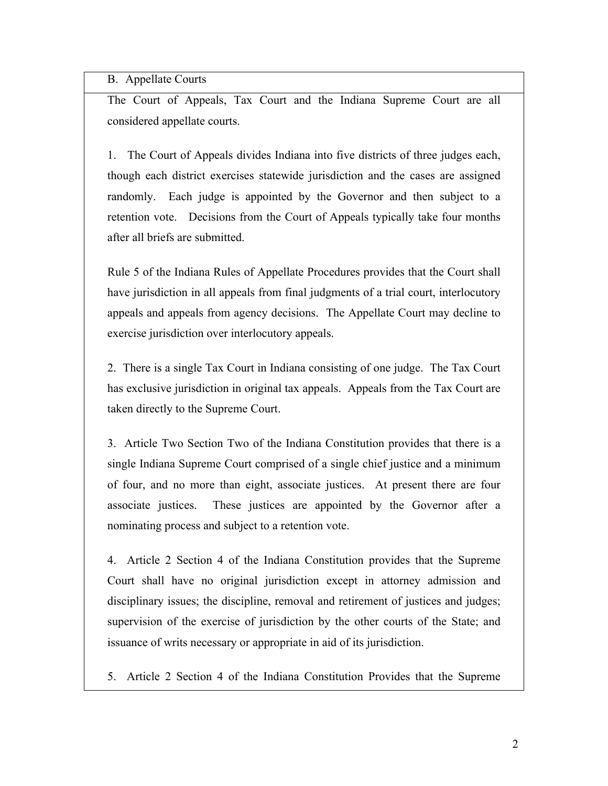B. Appellate Courts

The Court of Appeals, Tax Court and the Indiana Supreme Court are all considered appellate courts.

1.The Court of Appeals divides Indiana into five districts of three judges each, though each district exercises statewide jurisdiction and the cases are assigned randomly. Each judge is appointed by the Governor and then subject to a retention vote. Decisions from the Court of Appeals typically take four months after all briefs are submitted.

Rule 5 of the Indiana Rules of Appellate Procedures provides that the Court shall have jurisdiction in all appeals from final judgments of a trial court, interlocutory appeals and appeals from agency decisions. The Appellate Court may decline to exercise jurisdiction over interlocutory appeals.

2.There is a single Tax Court in Indiana consisting of one judge. The Tax Court has exclusive jurisdiction in original tax appeals. Appeals from the Tax Court are taken directly to the Supreme Court.

3.Article Two Section Two of the Indiana Constitution provides that there is a single Indiana Supreme Court comprised of a single chief justice and a minimum of four, and no more than eight, associate justices. At present there are four associate justices. These justices are appointed by the Governor after a nominating process and subject to a retention vote.

4. Article 2 Section 4 of the Indiana Constitution provides that the Supreme Court shall have no original jurisdiction except in attorney admission and disciplinary issues; the discipline, removal and retirement of justices and judges; supervision of the exercise of jurisdiction by the other courts of the State; and issuance of writs necessary or appropriate in aid of its jurisdiction.

5. Article 2 Section 4 of the Indiana Constitution Provides that the Supreme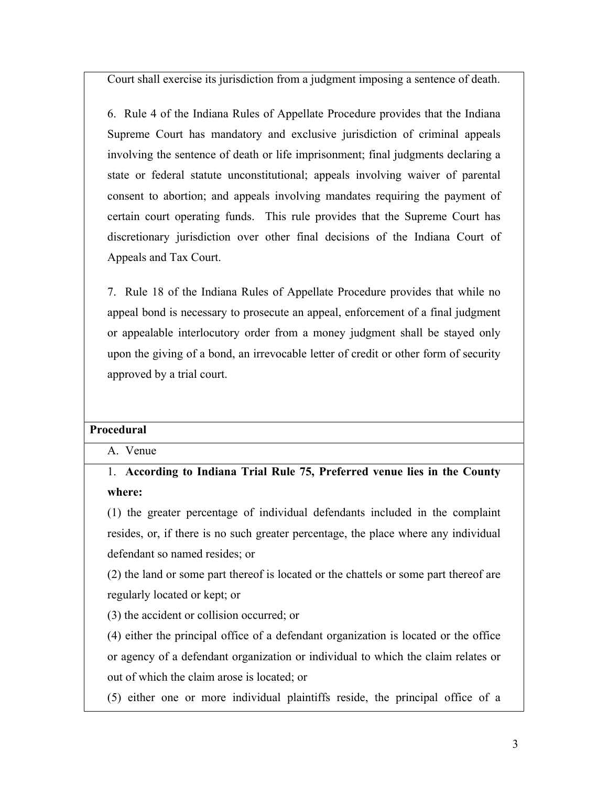Court shall exercise its jurisdiction from a judgment imposing a sentence of death.

6. Rule 4 of the Indiana Rules of Appellate Procedure provides that the Indiana Supreme Court has mandatory and exclusive jurisdiction of criminal appeals involving the sentence of death or life imprisonment; final judgments declaring a state or federal statute unconstitutional; appeals involving waiver of parental consent to abortion; and appeals involving mandates requiring the payment of certain court operating funds. This rule provides that the Supreme Court has discretionary jurisdiction over other final decisions of the Indiana Court of Appeals and Tax Court.

7. Rule 18 of the Indiana Rules of Appellate Procedure provides that while no appeal bond is necessary to prosecute an appeal, enforcement of a final judgment or appealable interlocutory order from a money judgment shall be stayed only upon the giving of a bond, an irrevocable letter of credit or other form of security approved by a trial court.

#### **Procedural**

A. Venue

1. **According to Indiana Trial Rule 75, Preferred venue lies in the County where:**

(1) the greater percentage of individual defendants included in the complaint resides, or, if there is no such greater percentage, the place where any individual defendant so named resides; or

(2) the land or some part thereof is located or the chattels or some part thereof are regularly located or kept; or

(3) the accident or collision occurred; or

(4) either the principal office of a defendant organization is located or the office or agency of a defendant organization or individual to which the claim relates or out of which the claim arose is located; or

(5) either one or more individual plaintiffs reside, the principal office of a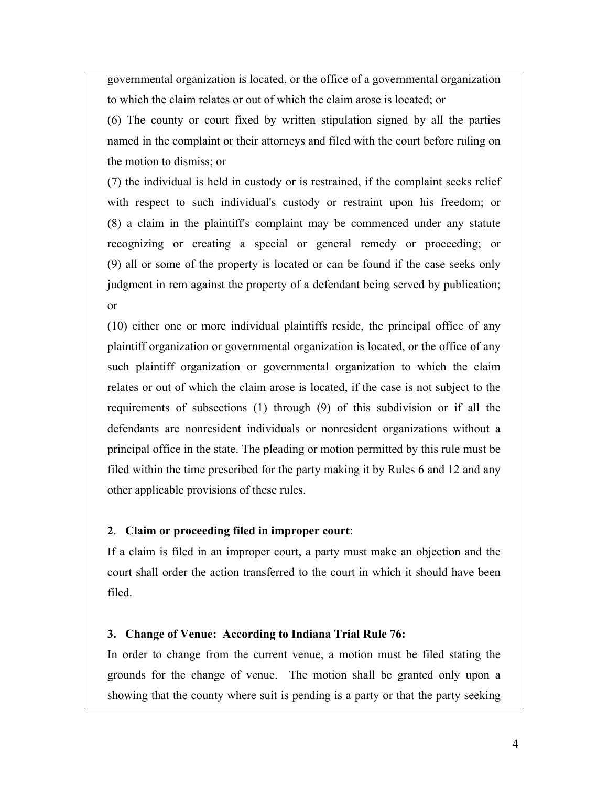governmental organization is located, or the office of a governmental organization to which the claim relates or out of which the claim arose is located; or

(6) The county or court fixed by written stipulation signed by all the parties named in the complaint or their attorneys and filed with the court before ruling on the motion to dismiss; or

(7) the individual is held in custody or is restrained, if the complaint seeks relief with respect to such individual's custody or restraint upon his freedom; or (8) a claim in the plaintiff's complaint may be commenced under any statute recognizing or creating a special or general remedy or proceeding; or (9) all or some of the property is located or can be found if the case seeks only judgment in rem against the property of a defendant being served by publication; or

(10) either one or more individual plaintiffs reside, the principal office of any plaintiff organization or governmental organization is located, or the office of any such plaintiff organization or governmental organization to which the claim relates or out of which the claim arose is located, if the case is not subject to the requirements of subsections (1) through (9) of this subdivision or if all the defendants are nonresident individuals or nonresident organizations without a principal office in the state. The pleading or motion permitted by this rule must be filed within the time prescribed for the party making it by Rules 6 and 12 and any other applicable provisions of these rules.

#### **2**. **Claim or proceeding filed in improper court**:

If a claim is filed in an improper court, a party must make an objection and the court shall order the action transferred to the court in which it should have been filed.

#### **3. Change of Venue: According to Indiana Trial Rule 76:**

In order to change from the current venue, a motion must be filed stating the grounds for the change of venue. The motion shall be granted only upon a showing that the county where suit is pending is a party or that the party seeking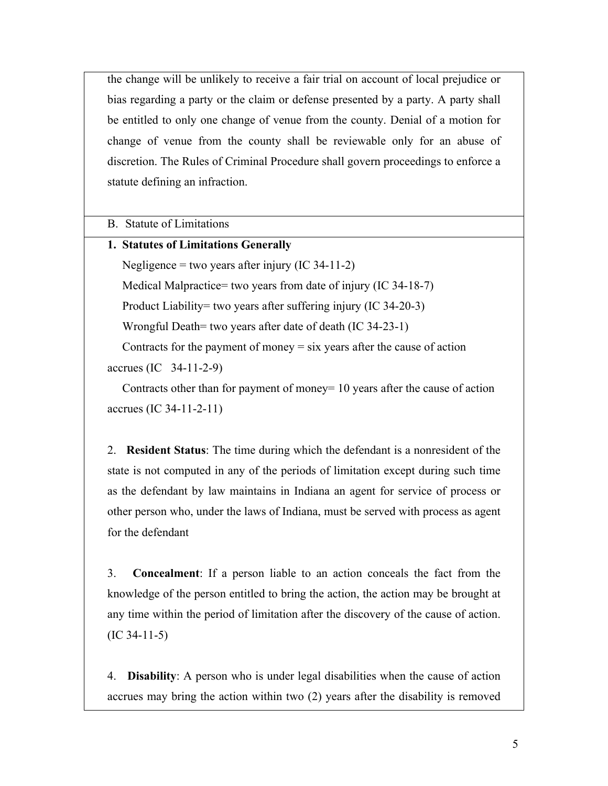the change will be unlikely to receive a fair trial on account of local prejudice or bias regarding a party or the claim or defense presented by a party. A party shall be entitled to only one change of venue from the county. Denial of a motion for change of venue from the county shall be reviewable only for an abuse of discretion. The Rules of Criminal Procedure shall govern proceedings to enforce a statute defining an infraction.

B. Statute of Limitations

### **1. Statutes of Limitations Generally**

Negligence = two years after injury  $(IC 34-11-2)$ 

Medical Malpractice= two years from date of injury (IC 34-18-7)

Product Liability= two years after suffering injury (IC 34-20-3)

Wrongful Death= two years after date of death (IC 34-23-1)

Contracts for the payment of money  $=$  six years after the cause of action

accrues (IC 34-11-2-9)

 Contracts other than for payment of money= 10 years after the cause of action accrues (IC 34-11-2-11)

2. **Resident Status**: The time during which the defendant is a nonresident of the state is not computed in any of the periods of limitation except during such time as the defendant by law maintains in Indiana an agent for service of process or other person who, under the laws of Indiana, must be served with process as agent for the defendant

3. **Concealment**: If a person liable to an action conceals the fact from the knowledge of the person entitled to bring the action, the action may be brought at any time within the period of limitation after the discovery of the cause of action.  $(IC 34-11-5)$ 

4. **Disability**: A person who is under legal disabilities when the cause of action accrues may bring the action within two (2) years after the disability is removed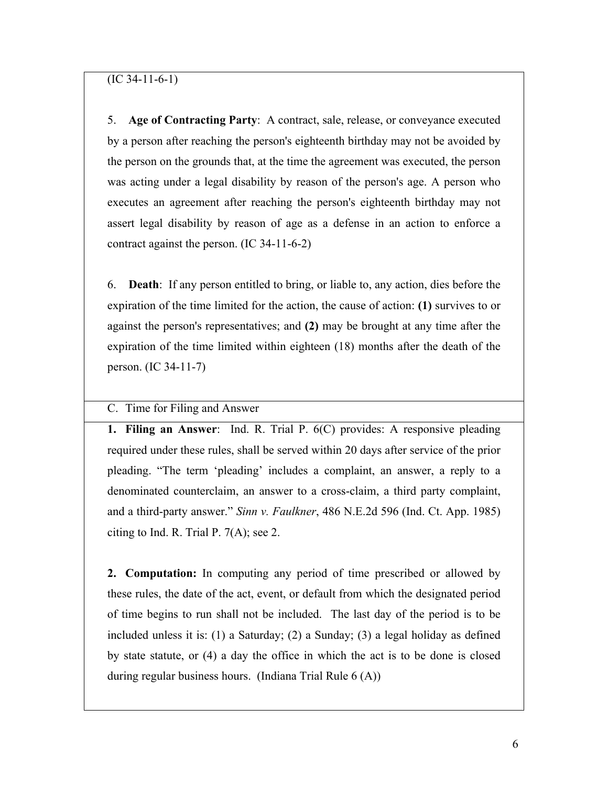5. **Age of Contracting Party**: A contract, sale, release, or conveyance executed by a person after reaching the person's eighteenth birthday may not be avoided by the person on the grounds that, at the time the agreement was executed, the person was acting under a legal disability by reason of the person's age. A person who executes an agreement after reaching the person's eighteenth birthday may not assert legal disability by reason of age as a defense in an action to enforce a contract against the person. (IC 34-11-6-2)

6. **Death**: If any person entitled to bring, or liable to, any action, dies before the expiration of the time limited for the action, the cause of action: **(1)** survives to or against the person's representatives; and **(2)** may be brought at any time after the expiration of the time limited within eighteen (18) months after the death of the person. (IC 34-11-7)

## C. Time for Filing and Answer

**1. Filing an Answer**: Ind. R. Trial P. 6(C) provides: A responsive pleading required under these rules, shall be served within 20 days after service of the prior pleading. "The term 'pleading' includes a complaint, an answer, a reply to a denominated counterclaim, an answer to a cross-claim, a third party complaint, and a third-party answer." *Sinn v. Faulkner*, 486 N.E.2d 596 (Ind. Ct. App. 1985) citing to Ind. R. Trial P. 7(A); see 2.

**2. Computation:** In computing any period of time prescribed or allowed by these rules, the date of the act, event, or default from which the designated period of time begins to run shall not be included. The last day of the period is to be included unless it is: (1) a Saturday; (2) a Sunday; (3) a legal holiday as defined by state statute, or (4) a day the office in which the act is to be done is closed during regular business hours. (Indiana Trial Rule 6 (A))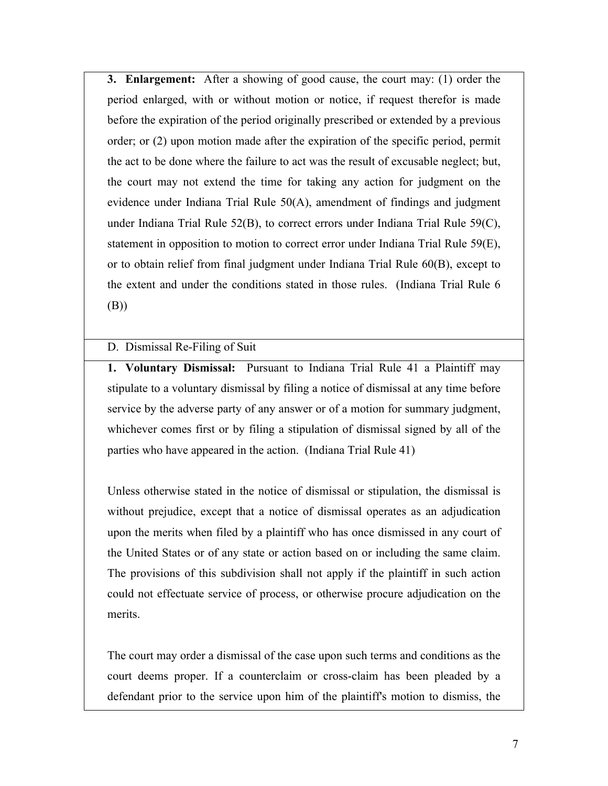**3. Enlargement:** After a showing of good cause, the court may: (1) order the period enlarged, with or without motion or notice, if request therefor is made before the expiration of the period originally prescribed or extended by a previous order; or (2) upon motion made after the expiration of the specific period, permit the act to be done where the failure to act was the result of excusable neglect; but, the court may not extend the time for taking any action for judgment on the evidence under Indiana Trial Rule 50(A), amendment of findings and judgment under Indiana Trial Rule 52(B), to correct errors under Indiana Trial Rule 59(C), statement in opposition to motion to correct error under Indiana Trial Rule 59(E), or to obtain relief from final judgment under Indiana Trial Rule 60(B), except to the extent and under the conditions stated in those rules. (Indiana Trial Rule 6 (B))

### D. Dismissal Re-Filing of Suit

**1. Voluntary Dismissal:** Pursuant to Indiana Trial Rule 41 a Plaintiff may stipulate to a voluntary dismissal by filing a notice of dismissal at any time before service by the adverse party of any answer or of a motion for summary judgment, whichever comes first or by filing a stipulation of dismissal signed by all of the parties who have appeared in the action. (Indiana Trial Rule 41)

Unless otherwise stated in the notice of dismissal or stipulation, the dismissal is without prejudice, except that a notice of dismissal operates as an adjudication upon the merits when filed by a plaintiff who has once dismissed in any court of the United States or of any state or action based on or including the same claim. The provisions of this subdivision shall not apply if the plaintiff in such action could not effectuate service of process, or otherwise procure adjudication on the merits.

The court may order a dismissal of the case upon such terms and conditions as the court deems proper. If a counterclaim or cross-claim has been pleaded by a defendant prior to the service upon him of the plaintiff's motion to dismiss, the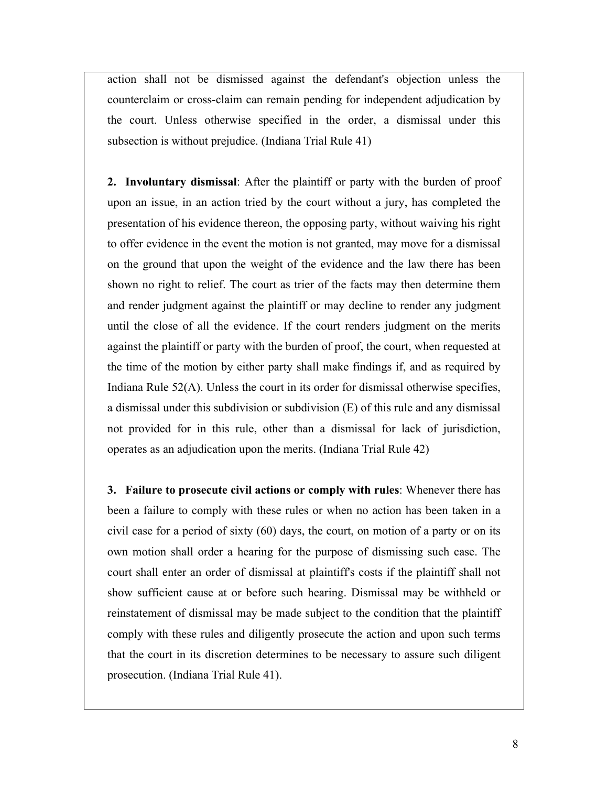action shall not be dismissed against the defendant's objection unless the counterclaim or cross-claim can remain pending for independent adjudication by the court. Unless otherwise specified in the order, a dismissal under this subsection is without prejudice. (Indiana Trial Rule 41)

**2. Involuntary dismissal**: After the plaintiff or party with the burden of proof upon an issue, in an action tried by the court without a jury, has completed the presentation of his evidence thereon, the opposing party, without waiving his right to offer evidence in the event the motion is not granted, may move for a dismissal on the ground that upon the weight of the evidence and the law there has been shown no right to relief. The court as trier of the facts may then determine them and render judgment against the plaintiff or may decline to render any judgment until the close of all the evidence. If the court renders judgment on the merits against the plaintiff or party with the burden of proof, the court, when requested at the time of the motion by either party shall make findings if, and as required by Indiana Rule 52(A). Unless the court in its order for dismissal otherwise specifies, a dismissal under this subdivision or subdivision (E) of this rule and any dismissal not provided for in this rule, other than a dismissal for lack of jurisdiction, operates as an adjudication upon the merits. (Indiana Trial Rule 42)

**3. Failure to prosecute civil actions or comply with rules**: Whenever there has been a failure to comply with these rules or when no action has been taken in a civil case for a period of sixty (60) days, the court, on motion of a party or on its own motion shall order a hearing for the purpose of dismissing such case. The court shall enter an order of dismissal at plaintiff's costs if the plaintiff shall not show sufficient cause at or before such hearing. Dismissal may be withheld or reinstatement of dismissal may be made subject to the condition that the plaintiff comply with these rules and diligently prosecute the action and upon such terms that the court in its discretion determines to be necessary to assure such diligent prosecution. (Indiana Trial Rule 41).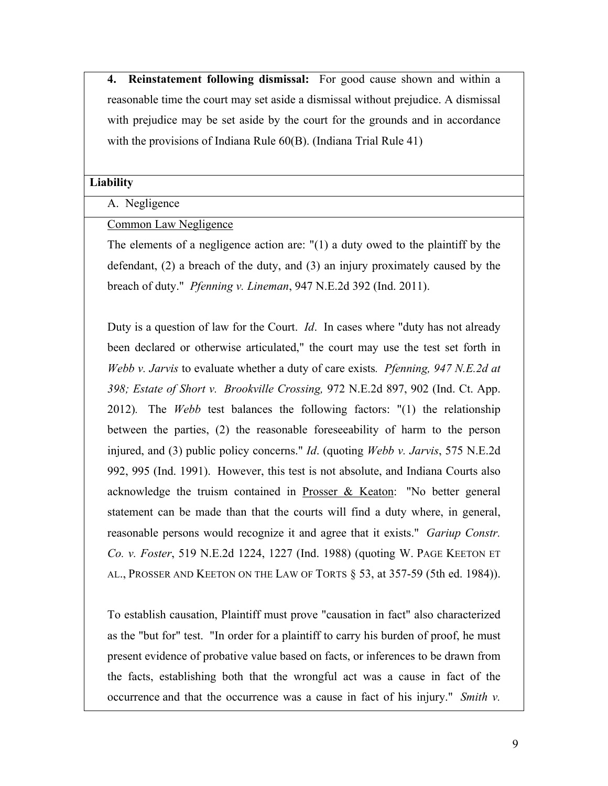**4. Reinstatement following dismissal:** For good cause shown and within a reasonable time the court may set aside a dismissal without prejudice. A dismissal with prejudice may be set aside by the court for the grounds and in accordance with the provisions of Indiana Rule 60(B). (Indiana Trial Rule 41)

#### **Liability**

### A. Negligence

### Common Law Negligence

The elements of a negligence action are: "(1) a duty owed to the plaintiff by the defendant, (2) a breach of the duty, and (3) an injury proximately caused by the breach of duty." *Pfenning v. Lineman*, 947 N.E.2d 392 (Ind. 2011).

Duty is a question of law for the Court. *Id*. In cases where "duty has not already been declared or otherwise articulated," the court may use the test set forth in *Webb v. Jarvis* to evaluate whether a duty of care exists*. Pfenning, 947 N.E.2d at 398; Estate of Short v. Brookville Crossing,* 972 N.E.2d 897, 902 (Ind. Ct. App. 2012)*.* The *Webb* test balances the following factors: "(1) the relationship between the parties, (2) the reasonable foreseeability of harm to the person injured, and (3) public policy concerns." *Id*. (quoting *Webb v. Jarvis*, 575 N.E.2d 992, 995 (Ind. 1991). However, this test is not absolute, and Indiana Courts also acknowledge the truism contained in Prosser & Keaton: "No better general statement can be made than that the courts will find a duty where, in general, reasonable persons would recognize it and agree that it exists." *Gariup Constr. Co. v. Foster*, 519 N.E.2d 1224, 1227 (Ind. 1988) (quoting W. PAGE KEETON ET AL., PROSSER AND KEETON ON THE LAW OF TORTS § 53, at 357-59 (5th ed. 1984)).

To establish causation, Plaintiff must prove "causation in fact" also characterized as the "but for" test. "In order for a plaintiff to carry his burden of proof, he must present evidence of probative value based on facts, or inferences to be drawn from the facts, establishing both that the wrongful act was a cause in fact of the occurrence and that the occurrence was a cause in fact of his injury." *Smith v.*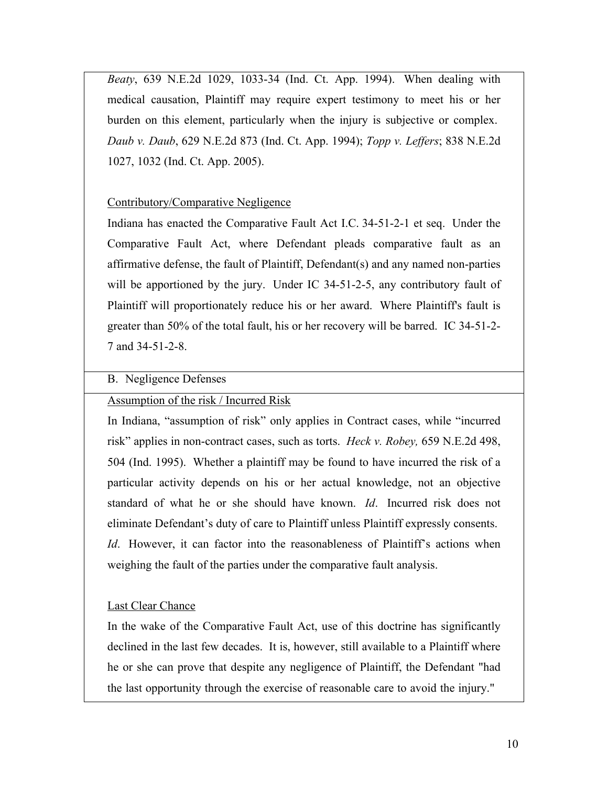*Beaty*, 639 N.E.2d 1029, 1033-34 (Ind. Ct. App. 1994). When dealing with medical causation, Plaintiff may require expert testimony to meet his or her burden on this element, particularly when the injury is subjective or complex. *Daub v. Daub*, 629 N.E.2d 873 (Ind. Ct. App. 1994); *Topp v. Leffers*; 838 N.E.2d 1027, 1032 (Ind. Ct. App. 2005).

### Contributory/Comparative Negligence

Indiana has enacted the Comparative Fault Act I.C. 34-51-2-1 et seq. Under the Comparative Fault Act, where Defendant pleads comparative fault as an affirmative defense, the fault of Plaintiff, Defendant(s) and any named non-parties will be apportioned by the jury. Under IC 34-51-2-5, any contributory fault of Plaintiff will proportionately reduce his or her award. Where Plaintiff's fault is greater than 50% of the total fault, his or her recovery will be barred. IC 34-51-2- 7 and 34-51-2-8.

#### B. Negligence Defenses

### Assumption of the risk / Incurred Risk

In Indiana, "assumption of risk" only applies in Contract cases, while "incurred risk" applies in non-contract cases, such as torts. *Heck v. Robey,* 659 N.E.2d 498, 504 (Ind. 1995). Whether a plaintiff may be found to have incurred the risk of a particular activity depends on his or her actual knowledge, not an objective standard of what he or she should have known. *Id*. Incurred risk does not eliminate Defendant's duty of care to Plaintiff unless Plaintiff expressly consents. *Id*. However, it can factor into the reasonableness of Plaintiff's actions when weighing the fault of the parties under the comparative fault analysis.

### Last Clear Chance

In the wake of the Comparative Fault Act, use of this doctrine has significantly declined in the last few decades. It is, however, still available to a Plaintiff where he or she can prove that despite any negligence of Plaintiff, the Defendant "had the last opportunity through the exercise of reasonable care to avoid the injury."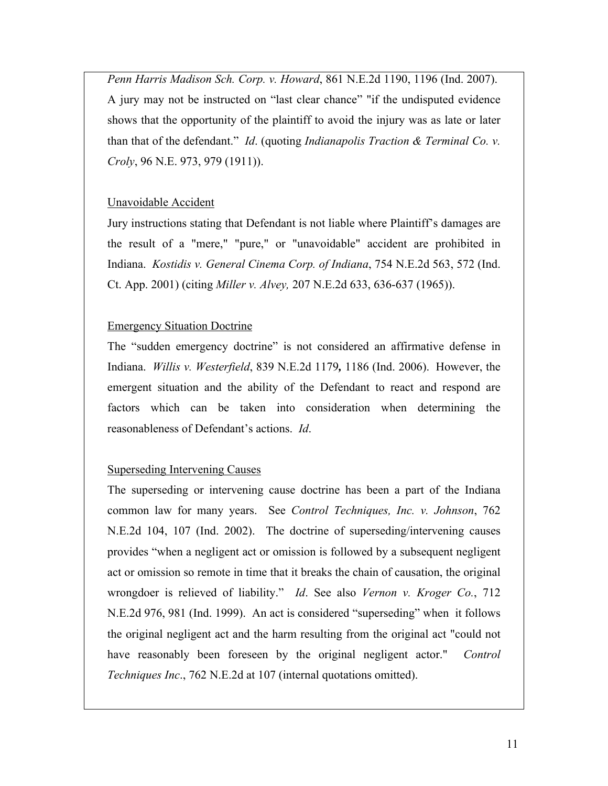*Penn Harris Madison Sch. Corp. v. Howard*, 861 N.E.2d 1190, 1196 (Ind. 2007). A jury may not be instructed on "last clear chance" "if the undisputed evidence shows that the opportunity of the plaintiff to avoid the injury was as late or later than that of the defendant." *Id*. (quoting *Indianapolis Traction & Terminal Co. v. Croly*, 96 N.E. 973, 979 (1911)).

### Unavoidable Accident

Jury instructions stating that Defendant is not liable where Plaintiff's damages are the result of a "mere," "pure," or "unavoidable" accident are prohibited in Indiana. *Kostidis v. General Cinema Corp. of Indiana*, 754 N.E.2d 563, 572 (Ind. Ct. App. 2001) (citing *Miller v. Alvey,* 207 N.E.2d 633, 636-637 (1965)).

#### Emergency Situation Doctrine

The "sudden emergency doctrine" is not considered an affirmative defense in Indiana. *Willis v. Westerfield*, 839 N.E.2d 1179*,* 1186 (Ind. 2006). However, the emergent situation and the ability of the Defendant to react and respond are factors which can be taken into consideration when determining the reasonableness of Defendant's actions. *Id*.

### Superseding Intervening Causes

The superseding or intervening cause doctrine has been a part of the Indiana common law for many years. See *Control Techniques, Inc. v. Johnson*, 762 N.E.2d 104, 107 (Ind. 2002). The doctrine of superseding/intervening causes provides "when a negligent act or omission is followed by a subsequent negligent act or omission so remote in time that it breaks the chain of causation, the original wrongdoer is relieved of liability." *Id*. See also *Vernon v. Kroger Co.*, 712 N.E.2d 976, 981 (Ind. 1999). An act is considered "superseding" when it follows the original negligent act and the harm resulting from the original act "could not have reasonably been foreseen by the original negligent actor." *Control Techniques Inc*., 762 N.E.2d at 107 (internal quotations omitted).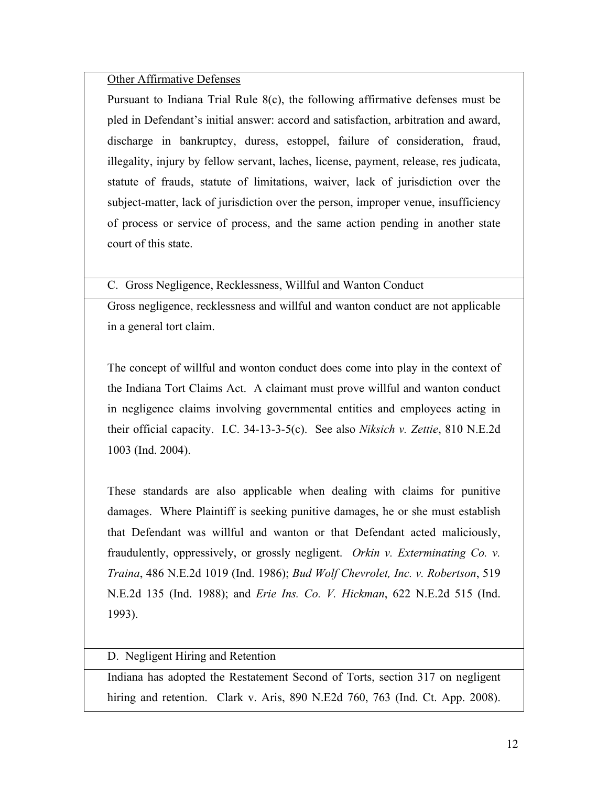### Other Affirmative Defenses

Pursuant to Indiana Trial Rule 8(c), the following affirmative defenses must be pled in Defendant's initial answer: accord and satisfaction, arbitration and award, discharge in bankruptcy, duress, estoppel, failure of consideration, fraud, illegality, injury by fellow servant, laches, license, payment, release, res judicata, statute of frauds, statute of limitations, waiver, lack of jurisdiction over the subject-matter, lack of jurisdiction over the person, improper venue, insufficiency of process or service of process, and the same action pending in another state court of this state.

C. Gross Negligence, Recklessness, Willful and Wanton Conduct

Gross negligence, recklessness and willful and wanton conduct are not applicable in a general tort claim.

The concept of willful and wonton conduct does come into play in the context of the Indiana Tort Claims Act. A claimant must prove willful and wanton conduct in negligence claims involving governmental entities and employees acting in their official capacity. I.C. 34-13-3-5(c). See also *Niksich v. Zettie*, 810 N.E.2d 1003 (Ind. 2004).

These standards are also applicable when dealing with claims for punitive damages. Where Plaintiff is seeking punitive damages, he or she must establish that Defendant was willful and wanton or that Defendant acted maliciously, fraudulently, oppressively, or grossly negligent. *Orkin v. Exterminating Co. v. Traina*, 486 N.E.2d 1019 (Ind. 1986); *Bud Wolf Chevrolet, Inc. v. Robertson*, 519 N.E.2d 135 (Ind. 1988); and *Erie Ins. Co. V. Hickman*, 622 N.E.2d 515 (Ind. 1993).

D. Negligent Hiring and Retention

Indiana has adopted the Restatement Second of Torts, section 317 on negligent hiring and retention. Clark v. Aris, 890 N.E2d 760, 763 (Ind. Ct. App. 2008).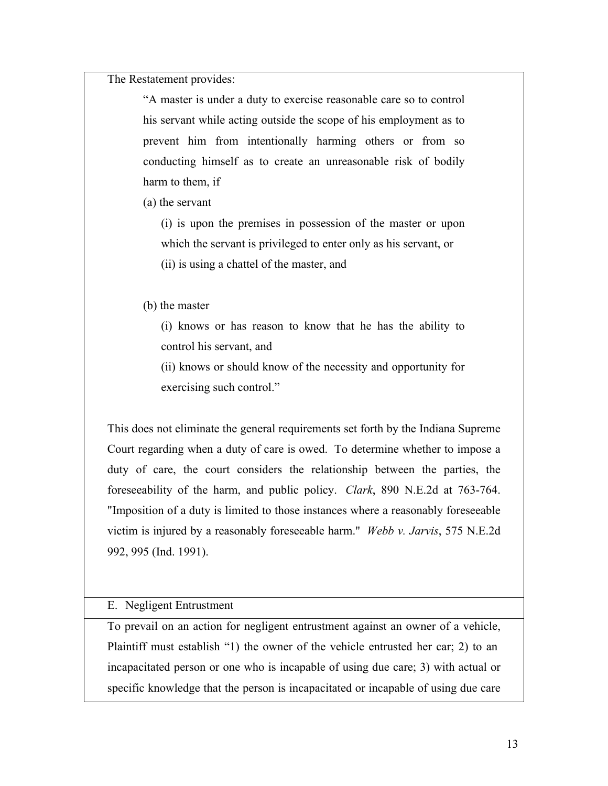The Restatement provides:

"A master is under a duty to exercise reasonable care so to control his servant while acting outside the scope of his employment as to prevent him from intentionally harming others or from so conducting himself as to create an unreasonable risk of bodily harm to them, if

(a) the servant

(i) is upon the premises in possession of the master or upon which the servant is privileged to enter only as his servant, or (ii) is using a chattel of the master, and

(b) the master

(i) knows or has reason to know that he has the ability to control his servant, and

(ii) knows or should know of the necessity and opportunity for exercising such control."

This does not eliminate the general requirements set forth by the Indiana Supreme Court regarding when a duty of care is owed. To determine whether to impose a duty of care, the court considers the relationship between the parties, the foreseeability of the harm, and public policy. *Clark*, 890 N.E.2d at 763-764. "Imposition of a duty is limited to those instances where a reasonably foreseeable victim is injured by a reasonably foreseeable harm." *Webb v. Jarvis*, 575 N.E.2d 992, 995 (Ind. 1991).

#### E. Negligent Entrustment

To prevail on an action for negligent entrustment against an owner of a vehicle, Plaintiff must establish "1) the owner of the vehicle entrusted her car; 2) to an incapacitated person or one who is incapable of using due care; 3) with actual or specific knowledge that the person is incapacitated or incapable of using due care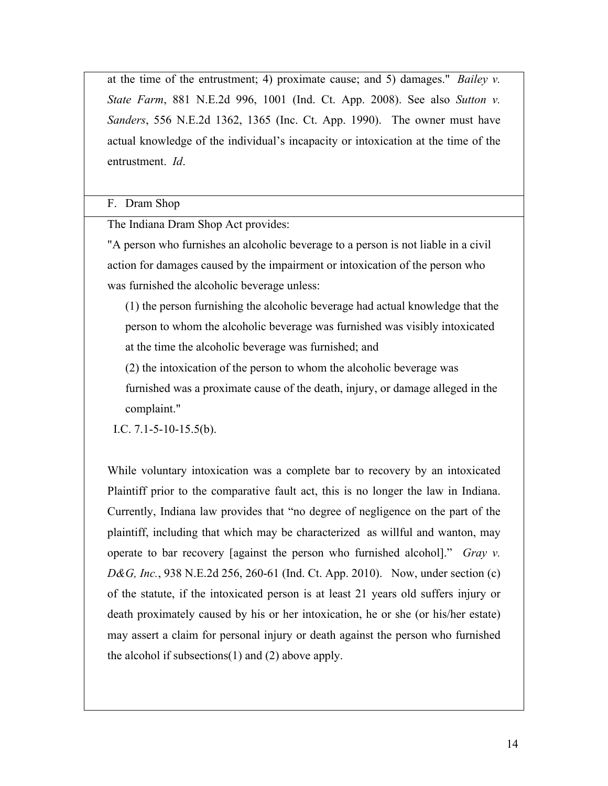at the time of the entrustment; 4) proximate cause; and 5) damages." *Bailey v. State Farm*, 881 N.E.2d 996, 1001 (Ind. Ct. App. 2008). See also *Sutton v. Sanders*, 556 N.E.2d 1362, 1365 (Inc. Ct. App. 1990). The owner must have actual knowledge of the individual's incapacity or intoxication at the time of the entrustment. *Id*.

### F. Dram Shop

The Indiana Dram Shop Act provides:

"A person who furnishes an alcoholic beverage to a person is not liable in a civil action for damages caused by the impairment or intoxication of the person who was furnished the alcoholic beverage unless:

(1) the person furnishing the alcoholic beverage had actual knowledge that the person to whom the alcoholic beverage was furnished was visibly intoxicated at the time the alcoholic beverage was furnished; and

(2) the intoxication of the person to whom the alcoholic beverage was furnished was a proximate cause of the death, injury, or damage alleged in the complaint."

I.C. 7.1-5-10-15.5(b).

While voluntary intoxication was a complete bar to recovery by an intoxicated Plaintiff prior to the comparative fault act, this is no longer the law in Indiana. Currently, Indiana law provides that "no degree of negligence on the part of the plaintiff, including that which may be characterized as willful and wanton, may operate to bar recovery [against the person who furnished alcohol]." *Gray v. D&G, Inc.*, 938 N.E.2d 256, 260-61 (Ind. Ct. App. 2010). Now, under section (c) of the statute, if the intoxicated person is at least 21 years old suffers injury or death proximately caused by his or her intoxication, he or she (or his/her estate) may assert a claim for personal injury or death against the person who furnished the alcohol if subsections(1) and (2) above apply.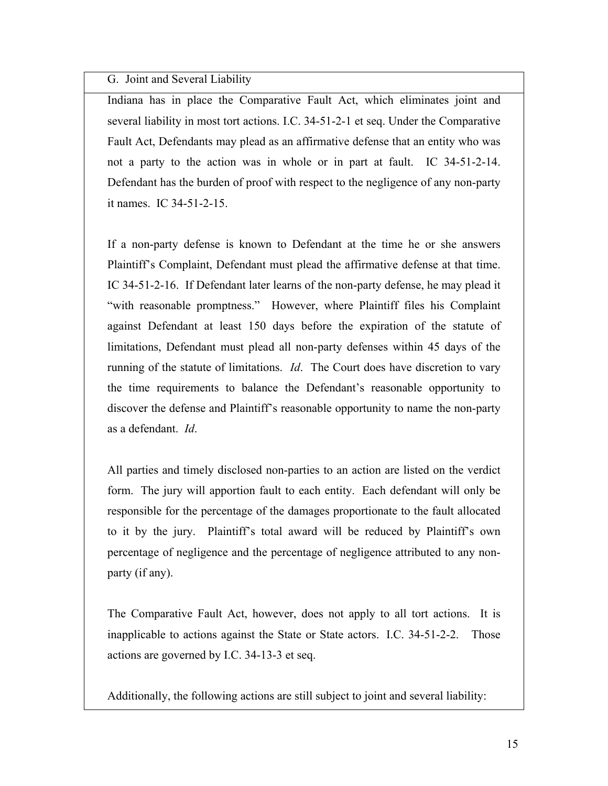G. Joint and Several Liability

Indiana has in place the Comparative Fault Act, which eliminates joint and several liability in most tort actions. I.C. 34-51-2-1 et seq. Under the Comparative Fault Act, Defendants may plead as an affirmative defense that an entity who was not a party to the action was in whole or in part at fault. IC 34-51-2-14. Defendant has the burden of proof with respect to the negligence of any non-party it names. IC 34-51-2-15.

If a non-party defense is known to Defendant at the time he or she answers Plaintiff's Complaint, Defendant must plead the affirmative defense at that time. IC 34-51-2-16. If Defendant later learns of the non-party defense, he may plead it "with reasonable promptness." However, where Plaintiff files his Complaint against Defendant at least 150 days before the expiration of the statute of limitations, Defendant must plead all non-party defenses within 45 days of the running of the statute of limitations. *Id*. The Court does have discretion to vary the time requirements to balance the Defendant's reasonable opportunity to discover the defense and Plaintiff's reasonable opportunity to name the non-party as a defendant. *Id*.

All parties and timely disclosed non-parties to an action are listed on the verdict form. The jury will apportion fault to each entity. Each defendant will only be responsible for the percentage of the damages proportionate to the fault allocated to it by the jury. Plaintiff's total award will be reduced by Plaintiff's own percentage of negligence and the percentage of negligence attributed to any nonparty (if any).

The Comparative Fault Act, however, does not apply to all tort actions. It is inapplicable to actions against the State or State actors. I.C. 34-51-2-2. Those actions are governed by I.C. 34-13-3 et seq.

Additionally, the following actions are still subject to joint and several liability: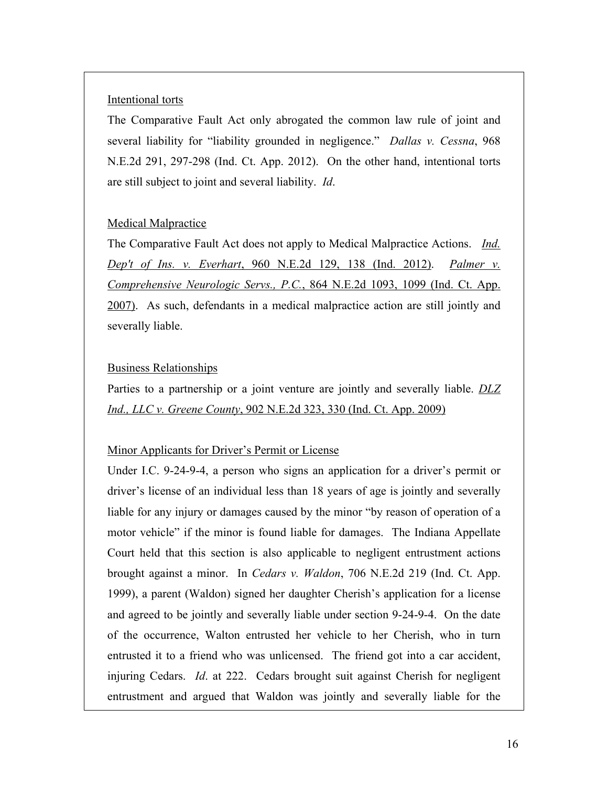#### Intentional torts

The Comparative Fault Act only abrogated the common law rule of joint and several liability for "liability grounded in negligence." *Dallas v. Cessna*, 968 N.E.2d 291, 297-298 (Ind. Ct. App. 2012). On the other hand, intentional torts are still subject to joint and several liability. *Id*.

#### Medical Malpractice

The Comparative Fault Act does not apply to Medical Malpractice Actions. *Ind. Dep't of Ins. v. Everhart*, 960 N.E.2d 129, 138 (Ind. 2012). *Palmer v. Comprehensive Neurologic Servs., P.C.*, 864 N.E.2d 1093, 1099 (Ind. Ct. App. 2007). As such, defendants in a medical malpractice action are still jointly and severally liable.

#### Business Relationships

Parties to a partnership or a joint venture are jointly and severally liable. *DLZ Ind., LLC v. Greene County*, 902 N.E.2d 323, 330 (Ind. Ct. App. 2009)

#### Minor Applicants for Driver's Permit or License

Under I.C. 9-24-9-4, a person who signs an application for a driver's permit or driver's license of an individual less than 18 years of age is jointly and severally liable for any injury or damages caused by the minor "by reason of operation of a motor vehicle" if the minor is found liable for damages. The Indiana Appellate Court held that this section is also applicable to negligent entrustment actions brought against a minor. In *Cedars v. Waldon*, 706 N.E.2d 219 (Ind. Ct. App. 1999), a parent (Waldon) signed her daughter Cherish's application for a license and agreed to be jointly and severally liable under section 9-24-9-4. On the date of the occurrence, Walton entrusted her vehicle to her Cherish, who in turn entrusted it to a friend who was unlicensed. The friend got into a car accident, injuring Cedars. *Id*. at 222. Cedars brought suit against Cherish for negligent entrustment and argued that Waldon was jointly and severally liable for the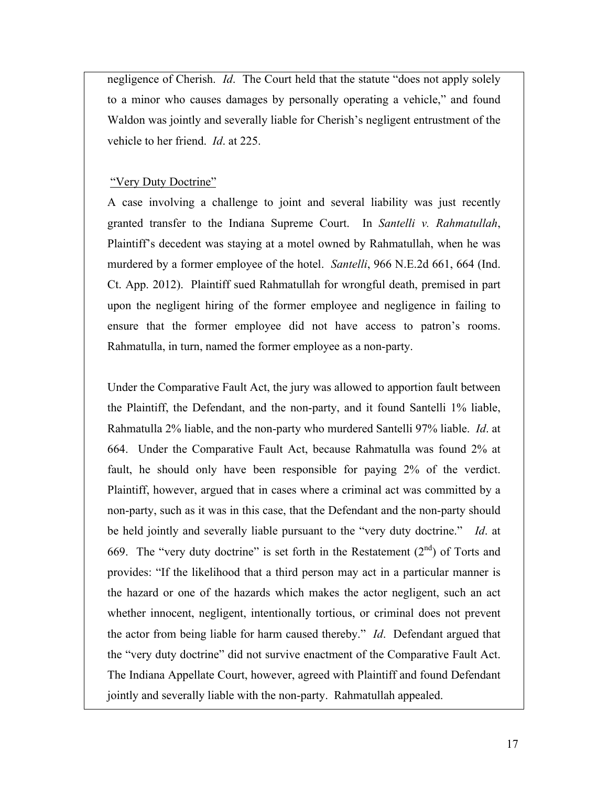negligence of Cherish. *Id*. The Court held that the statute "does not apply solely to a minor who causes damages by personally operating a vehicle," and found Waldon was jointly and severally liable for Cherish's negligent entrustment of the vehicle to her friend. *Id*. at 225.

#### "Very Duty Doctrine"

A case involving a challenge to joint and several liability was just recently granted transfer to the Indiana Supreme Court. In *Santelli v. Rahmatullah*, Plaintiff's decedent was staying at a motel owned by Rahmatullah, when he was murdered by a former employee of the hotel. *Santelli*, 966 N.E.2d 661, 664 (Ind. Ct. App. 2012). Plaintiff sued Rahmatullah for wrongful death, premised in part upon the negligent hiring of the former employee and negligence in failing to ensure that the former employee did not have access to patron's rooms. Rahmatulla, in turn, named the former employee as a non-party.

Under the Comparative Fault Act, the jury was allowed to apportion fault between the Plaintiff, the Defendant, and the non-party, and it found Santelli 1% liable, Rahmatulla 2% liable, and the non-party who murdered Santelli 97% liable. *Id*. at 664. Under the Comparative Fault Act, because Rahmatulla was found 2% at fault, he should only have been responsible for paying 2% of the verdict. Plaintiff, however, argued that in cases where a criminal act was committed by a non-party, such as it was in this case, that the Defendant and the non-party should be held jointly and severally liable pursuant to the "very duty doctrine." *Id*. at 669. The "very duty doctrine" is set forth in the Restatement  $(2<sup>nd</sup>)$  of Torts and provides: "If the likelihood that a third person may act in a particular manner is the hazard or one of the hazards which makes the actor negligent, such an act whether innocent, negligent, intentionally tortious, or criminal does not prevent the actor from being liable for harm caused thereby." *Id*. Defendant argued that the "very duty doctrine" did not survive enactment of the Comparative Fault Act. The Indiana Appellate Court, however, agreed with Plaintiff and found Defendant jointly and severally liable with the non-party. Rahmatullah appealed.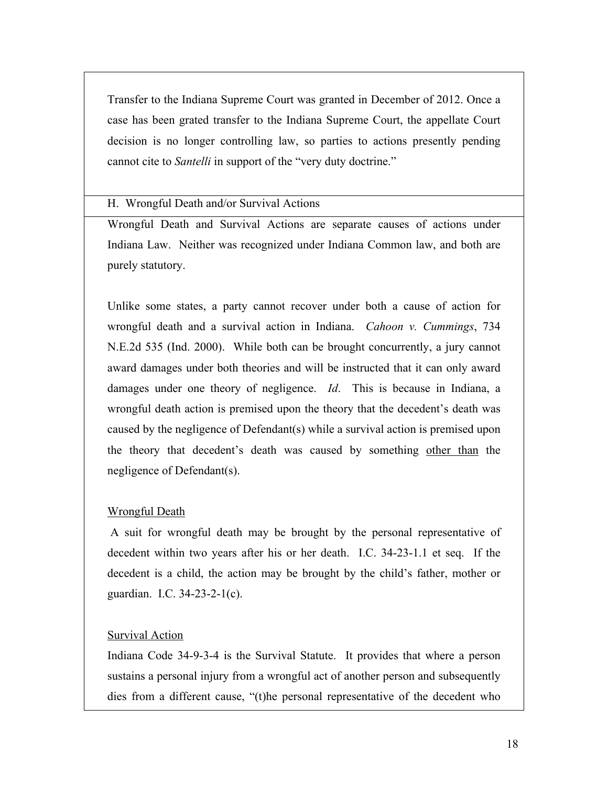Transfer to the Indiana Supreme Court was granted in December of 2012. Once a case has been grated transfer to the Indiana Supreme Court, the appellate Court decision is no longer controlling law, so parties to actions presently pending cannot cite to *Santelli* in support of the "very duty doctrine."

H. Wrongful Death and/or Survival Actions

Wrongful Death and Survival Actions are separate causes of actions under Indiana Law. Neither was recognized under Indiana Common law, and both are purely statutory.

Unlike some states, a party cannot recover under both a cause of action for wrongful death and a survival action in Indiana. *Cahoon v. Cummings*, 734 N.E.2d 535 (Ind. 2000). While both can be brought concurrently, a jury cannot award damages under both theories and will be instructed that it can only award damages under one theory of negligence. *Id*. This is because in Indiana, a wrongful death action is premised upon the theory that the decedent's death was caused by the negligence of Defendant(s) while a survival action is premised upon the theory that decedent's death was caused by something other than the negligence of Defendant(s).

### Wrongful Death

A suit for wrongful death may be brought by the personal representative of decedent within two years after his or her death. I.C. 34-23-1.1 et seq. If the decedent is a child, the action may be brought by the child's father, mother or guardian. I.C. 34-23-2-1(c).

## Survival Action

Indiana Code 34-9-3-4 is the Survival Statute. It provides that where a person sustains a personal injury from a wrongful act of another person and subsequently dies from a different cause, "(t)he personal representative of the decedent who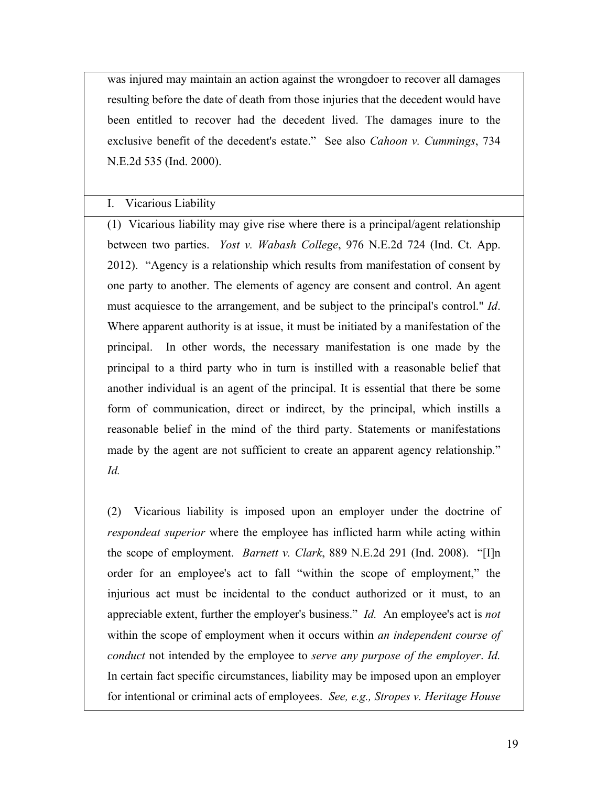was injured may maintain an action against the wrongdoer to recover all damages resulting before the date of death from those injuries that the decedent would have been entitled to recover had the decedent lived. The damages inure to the exclusive benefit of the decedent's estate." See also *Cahoon v. Cummings*, 734 N.E.2d 535 (Ind. 2000).

#### I. Vicarious Liability

(1) Vicarious liability may give rise where there is a principal/agent relationship between two parties. *Yost v. Wabash College*, 976 N.E.2d 724 (Ind. Ct. App. 2012). "Agency is a relationship which results from manifestation of consent by one party to another. The elements of agency are consent and control. An agent must acquiesce to the arrangement, and be subject to the principal's control." *Id*. Where apparent authority is at issue, it must be initiated by a manifestation of the principal.In other words, the necessary manifestation is one made by the principal to a third party who in turn is instilled with a reasonable belief that another individual is an agent of the principal. It is essential that there be some form of communication, direct or indirect, by the principal, which instills a reasonable belief in the mind of the third party. Statements or manifestations made by the agent are not sufficient to create an apparent agency relationship." *Id.*

(2) Vicarious liability is imposed upon an employer under the doctrine of *respondeat superior* where the employee has inflicted harm while acting within the scope of employment. *Barnett v. Clark*, 889 N.E.2d 291 (Ind. 2008). "[I]n order for an employee's act to fall "within the scope of employment," the injurious act must be incidental to the conduct authorized or it must, to an appreciable extent, further the employer's business." *Id.* An employee's act is *not* within the scope of employment when it occurs within *an independent course of conduct* not intended by the employee to *serve any purpose of the employer*. *Id.* In certain fact specific circumstances, liability may be imposed upon an employer for intentional or criminal acts of employees. *See, e.g., Stropes v. Heritage House*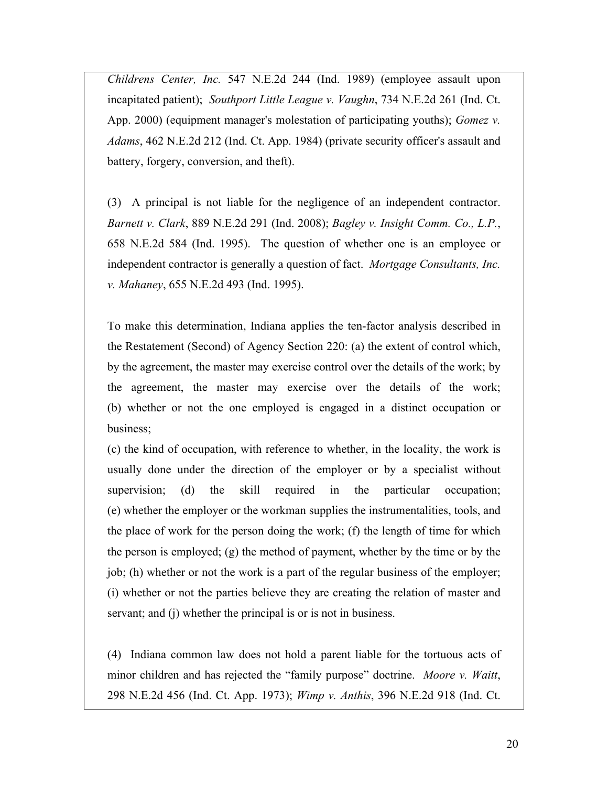*Childrens Center, Inc.* 547 N.E.2d 244 (Ind. 1989) (employee assault upon incapitated patient); *Southport Little League v. Vaughn*, 734 N.E.2d 261 (Ind. Ct. App. 2000) (equipment manager's molestation of participating youths); *Gomez v. Adams*, 462 N.E.2d 212 (Ind. Ct. App. 1984) (private security officer's assault and battery, forgery, conversion, and theft).

(3) A principal is not liable for the negligence of an independent contractor. *Barnett v. Clark*, 889 N.E.2d 291 (Ind. 2008); *Bagley v. Insight Comm. Co., L.P.*, 658 N.E.2d 584 (Ind. 1995). The question of whether one is an employee or independent contractor is generally a question of fact. *Mortgage Consultants, Inc. v. Mahaney*, 655 N.E.2d 493 (Ind. 1995).

To make this determination, Indiana applies the ten-factor analysis described in the Restatement (Second) of Agency Section 220: (a) the extent of control which, by the agreement, the master may exercise control over the details of the work; by the agreement, the master may exercise over the details of the work; (b) whether or not the one employed is engaged in a distinct occupation or business;

(c) the kind of occupation, with reference to whether, in the locality, the work is usually done under the direction of the employer or by a specialist without supervision; (d) the skill required in the particular occupation; (e) whether the employer or the workman supplies the instrumentalities, tools, and the place of work for the person doing the work; (f) the length of time for which the person is employed; (g) the method of payment, whether by the time or by the job; (h) whether or not the work is a part of the regular business of the employer; (i) whether or not the parties believe they are creating the relation of master and servant; and (j) whether the principal is or is not in business.

(4) Indiana common law does not hold a parent liable for the tortuous acts of minor children and has rejected the "family purpose" doctrine. *Moore v. Waitt*, 298 N.E.2d 456 (Ind. Ct. App. 1973); *Wimp v. Anthis*, 396 N.E.2d 918 (Ind. Ct.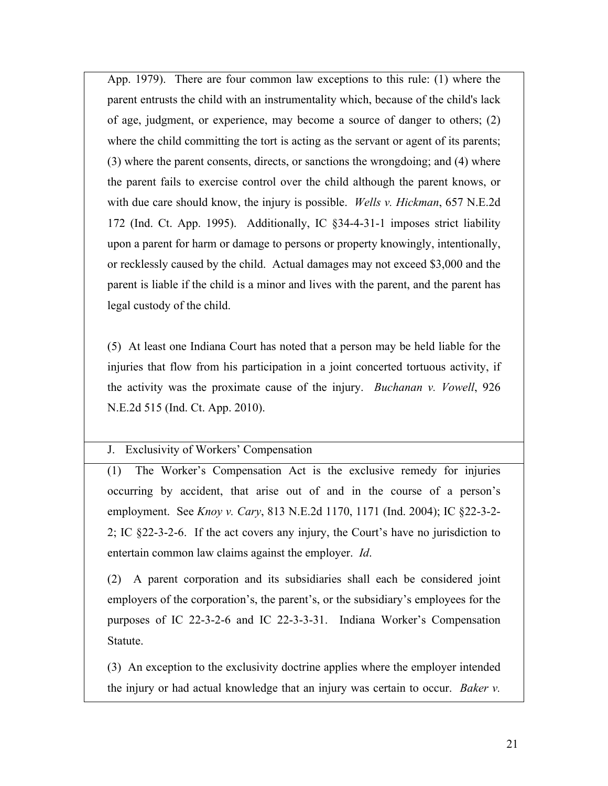App. 1979). There are four common law exceptions to this rule: (1) where the parent entrusts the child with an instrumentality which, because of the child's lack of age, judgment, or experience, may become a source of danger to others; (2) where the child committing the tort is acting as the servant or agent of its parents; (3) where the parent consents, directs, or sanctions the wrongdoing; and (4) where the parent fails to exercise control over the child although the parent knows, or with due care should know, the injury is possible. *Wells v. Hickman*, 657 N.E.2d 172 (Ind. Ct. App. 1995). Additionally, IC §34-4-31-1 imposes strict liability upon a parent for harm or damage to persons or property knowingly, intentionally, or recklessly caused by the child. Actual damages may not exceed \$3,000 and the parent is liable if the child is a minor and lives with the parent, and the parent has legal custody of the child.

(5) At least one Indiana Court has noted that a person may be held liable for the injuries that flow from his participation in a joint concerted tortuous activity, if the activity was the proximate cause of the injury. *Buchanan v. Vowell*, 926 N.E.2d 515 (Ind. Ct. App. 2010).

### J. Exclusivity of Workers' Compensation

(1) The Worker's Compensation Act is the exclusive remedy for injuries occurring by accident, that arise out of and in the course of a person's employment. See *Knoy v. Cary*, 813 N.E.2d 1170, 1171 (Ind. 2004); IC §22-3-2- 2; IC §22-3-2-6. If the act covers any injury, the Court's have no jurisdiction to entertain common law claims against the employer. *Id*.

(2) A parent corporation and its subsidiaries shall each be considered joint employers of the corporation's, the parent's, or the subsidiary's employees for the purposes of IC 22-3-2-6 and IC 22-3-3-31. Indiana Worker's Compensation Statute.

(3) An exception to the exclusivity doctrine applies where the employer intended the injury or had actual knowledge that an injury was certain to occur. *Baker v.*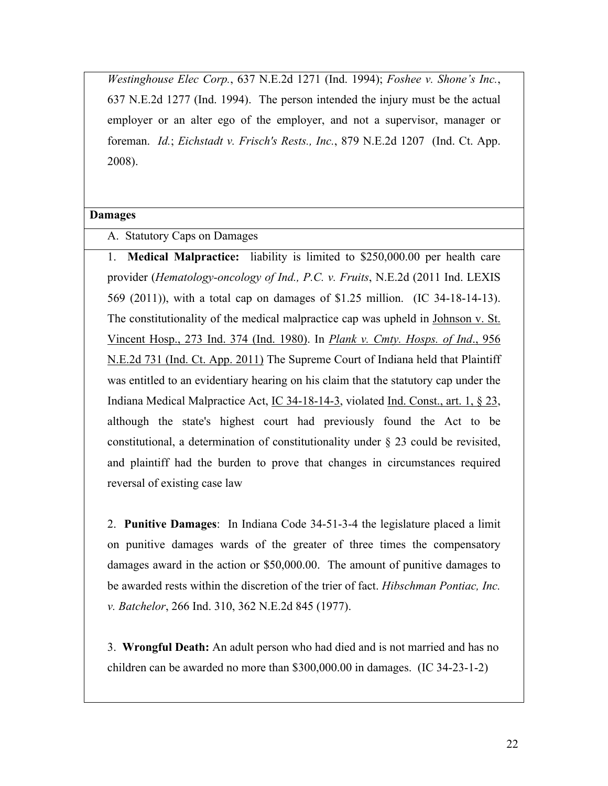*Westinghouse Elec Corp.*, 637 N.E.2d 1271 (Ind. 1994); *Foshee v. Shone's Inc.*, 637 N.E.2d 1277 (Ind. 1994). The person intended the injury must be the actual employer or an alter ego of the employer, and not a supervisor, manager or foreman. *Id.*; *Eichstadt v. Frisch's Rests., Inc.*, 879 N.E.2d 1207 (Ind. Ct. App. 2008).

#### **Damages**

A. Statutory Caps on Damages

1. **Medical Malpractice:** liability is limited to \$250,000.00 per health care provider (*Hematology-oncology of Ind., P.C. v. Fruits*, N.E.2d (2011 Ind. LEXIS 569 (2011)), with a total cap on damages of \$1.25 million. (IC 34-18-14-13). The constitutionality of the medical malpractice cap was upheld in Johnson v. St. Vincent Hosp., 273 Ind. 374 (Ind. 1980). In *Plank v. Cmty. Hosps. of Ind*., 956 N.E.2d 731 (Ind. Ct. App. 2011) The Supreme Court of Indiana held that Plaintiff was entitled to an evidentiary hearing on his claim that the statutory cap under the Indiana Medical Malpractice Act, IC 34-18-14-3, violated Ind. Const., art. 1, § 23, although the state's highest court had previously found the Act to be constitutional, a determination of constitutionality under § 23 could be revisited, and plaintiff had the burden to prove that changes in circumstances required reversal of existing case law

2. **Punitive Damages**: In Indiana Code 34-51-3-4 the legislature placed a limit on punitive damages wards of the greater of three times the compensatory damages award in the action or \$50,000.00. The amount of punitive damages to be awarded rests within the discretion of the trier of fact. *Hibschman Pontiac, Inc. v. Batchelor*, 266 Ind. 310, 362 N.E.2d 845 (1977).

3. **Wrongful Death:** An adult person who had died and is not married and has no children can be awarded no more than \$300,000.00 in damages. (IC 34-23-1-2)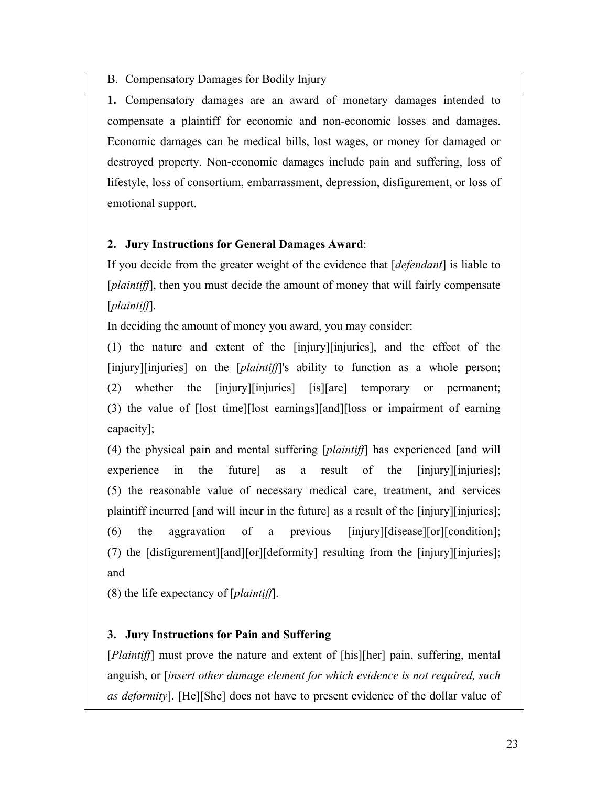B. Compensatory Damages for Bodily Injury

**1.** Compensatory damages are an award of monetary damages intended to compensate a plaintiff for economic and non-economic losses and damages. Economic damages can be medical bills, lost wages, or money for damaged or destroyed property. Non-economic damages include pain and suffering, loss of lifestyle, loss of consortium, embarrassment, depression, disfigurement, or loss of emotional support.

## **2. Jury Instructions for General Damages Award**:

If you decide from the greater weight of the evidence that [*defendant*] is liable to [*plaintiff*], then you must decide the amount of money that will fairly compensate [*plaintiff*].

In deciding the amount of money you award, you may consider:

(1) the nature and extent of the [injury][injuries], and the effect of the [injury][injuries] on the [*plaintiff*]'s ability to function as a whole person; (2) whether the [injury][injuries] [is][are] temporary or permanent; (3) the value of [lost time][lost earnings][and][loss or impairment of earning capacity];

(4) the physical pain and mental suffering [*plaintiff*] has experienced [and will experience in the future as a result of the [injury][injuries]; (5) the reasonable value of necessary medical care, treatment, and services plaintiff incurred [and will incur in the future] as a result of the [injury][injuries]; (6) the aggravation of a previous [injury][disease][or][condition]; (7) the [disfigurement][and][or][deformity] resulting from the [injury][injuries]; and

(8) the life expectancy of [*plaintiff*].

## **3. Jury Instructions for Pain and Suffering**

[*Plaintiff*] must prove the nature and extent of [his][her] pain, suffering, mental anguish, or [*insert other damage element for which evidence is not required, such as deformity*]. [He][She] does not have to present evidence of the dollar value of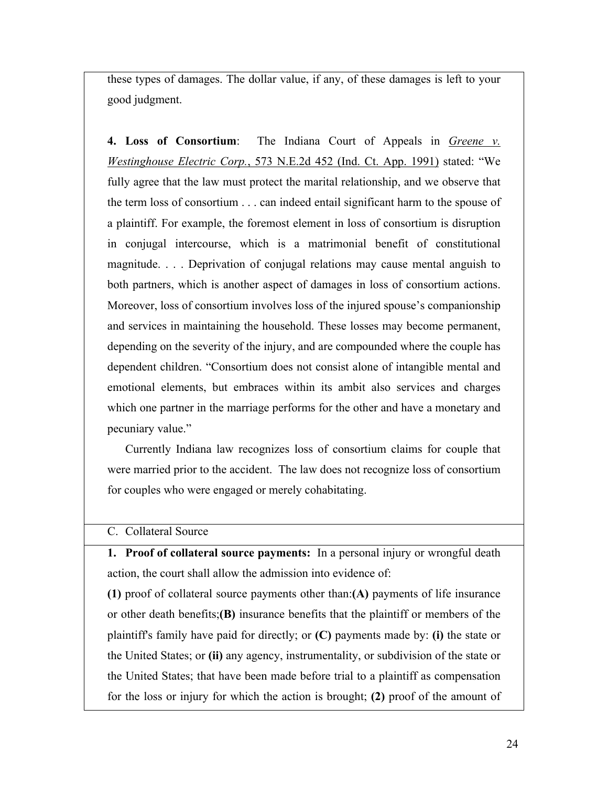these types of damages. The dollar value, if any, of these damages is left to your good judgment.

**4. Loss of Consortium**: The Indiana Court of Appeals in *Greene v. Westinghouse Electric Corp.*, 573 N.E.2d 452 (Ind. Ct. App. 1991) stated: "We fully agree that the law must protect the marital relationship, and we observe that the term loss of consortium . . . can indeed entail significant harm to the spouse of a plaintiff. For example, the foremost element in loss of consortium is disruption in conjugal intercourse, which is a matrimonial benefit of constitutional magnitude. . . . Deprivation of conjugal relations may cause mental anguish to both partners, which is another aspect of damages in loss of consortium actions. Moreover, loss of consortium involves loss of the injured spouse's companionship and services in maintaining the household. These losses may become permanent, depending on the severity of the injury, and are compounded where the couple has dependent children. "Consortium does not consist alone of intangible mental and emotional elements, but embraces within its ambit also services and charges which one partner in the marriage performs for the other and have a monetary and pecuniary value."

Currently Indiana law recognizes loss of consortium claims for couple that were married prior to the accident. The law does not recognize loss of consortium for couples who were engaged or merely cohabitating.

### C. Collateral Source

**1. Proof of collateral source payments:** In a personal injury or wrongful death action, the court shall allow the admission into evidence of:

**(1)** proof of collateral source payments other than:**(A)** payments of life insurance or other death benefits;**(B)** insurance benefits that the plaintiff or members of the plaintiff's family have paid for directly; or **(C)** payments made by: **(i)** the state or the United States; or **(ii)** any agency, instrumentality, or subdivision of the state or the United States; that have been made before trial to a plaintiff as compensation for the loss or injury for which the action is brought; **(2)** proof of the amount of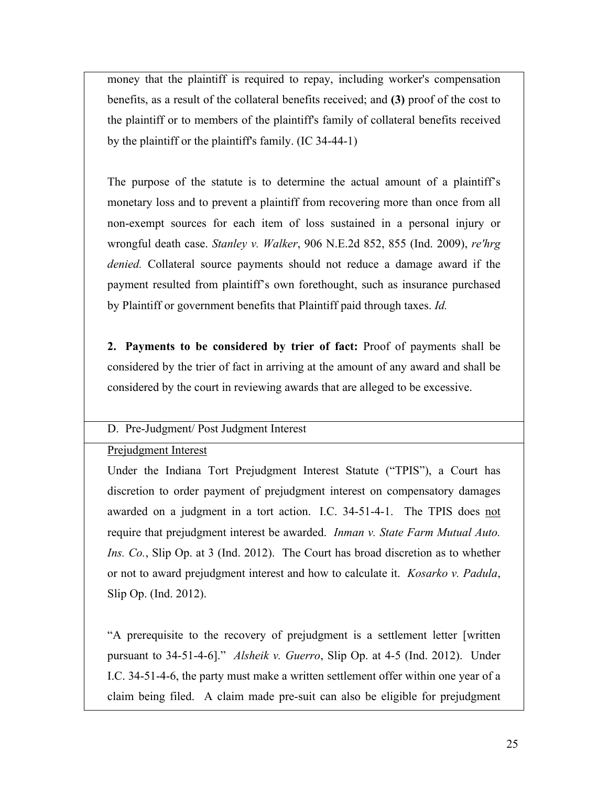money that the plaintiff is required to repay, including worker's compensation benefits, as a result of the collateral benefits received; and **(3)** proof of the cost to the plaintiff or to members of the plaintiff's family of collateral benefits received by the plaintiff or the plaintiff's family. (IC 34-44-1)

The purpose of the statute is to determine the actual amount of a plaintiff's monetary loss and to prevent a plaintiff from recovering more than once from all non-exempt sources for each item of loss sustained in a personal injury or wrongful death case. *Stanley v. Walker*, 906 N.E.2d 852, 855 (Ind. 2009), *re'hrg denied.* Collateral source payments should not reduce a damage award if the payment resulted from plaintiff's own forethought, such as insurance purchased by Plaintiff or government benefits that Plaintiff paid through taxes. *Id.*

**2. Payments to be considered by trier of fact:** Proof of payments shall be considered by the trier of fact in arriving at the amount of any award and shall be considered by the court in reviewing awards that are alleged to be excessive.

### D. Pre-Judgment/ Post Judgment Interest

### Prejudgment Interest

Under the Indiana Tort Prejudgment Interest Statute ("TPIS"), a Court has discretion to order payment of prejudgment interest on compensatory damages awarded on a judgment in a tort action. I.C. 34-51-4-1. The TPIS does not require that prejudgment interest be awarded. *Inman v. State Farm Mutual Auto. Ins. Co.*, Slip Op. at 3 (Ind. 2012). The Court has broad discretion as to whether or not to award prejudgment interest and how to calculate it. *Kosarko v. Padula*, Slip Op. (Ind. 2012).

"A prerequisite to the recovery of prejudgment is a settlement letter [written pursuant to 34-51-4-6]." *Alsheik v. Guerro*, Slip Op. at 4-5 (Ind. 2012). Under I.C. 34-51-4-6, the party must make a written settlement offer within one year of a claim being filed. A claim made pre-suit can also be eligible for prejudgment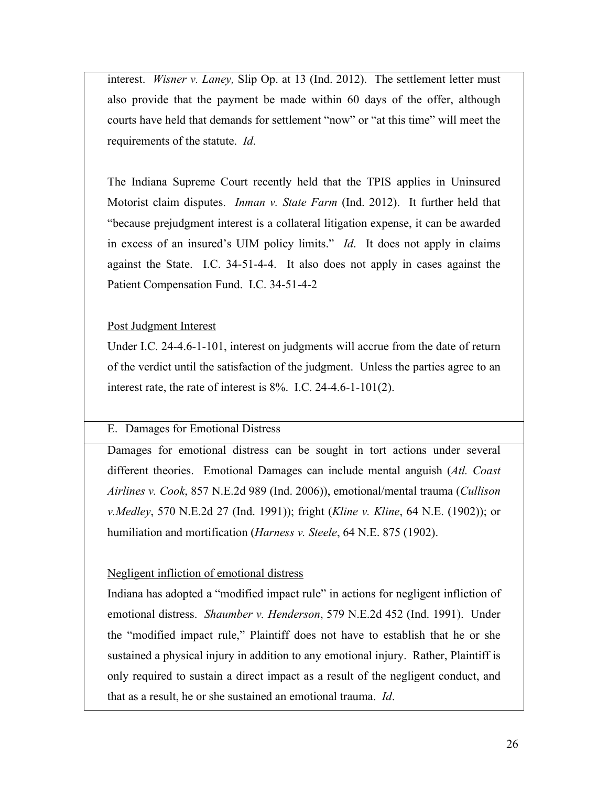interest. *Wisner v. Laney,* Slip Op. at 13 (Ind. 2012). The settlement letter must also provide that the payment be made within 60 days of the offer, although courts have held that demands for settlement "now" or "at this time" will meet the requirements of the statute. *Id*.

The Indiana Supreme Court recently held that the TPIS applies in Uninsured Motorist claim disputes. *Inman v. State Farm* (Ind. 2012). It further held that "because prejudgment interest is a collateral litigation expense, it can be awarded in excess of an insured's UIM policy limits." *Id*. It does not apply in claims against the State. I.C. 34-51-4-4. It also does not apply in cases against the Patient Compensation Fund. I.C. 34-51-4-2

Post Judgment Interest

Under I.C. 24-4.6-1-101, interest on judgments will accrue from the date of return of the verdict until the satisfaction of the judgment. Unless the parties agree to an interest rate, the rate of interest is 8%. I.C. 24-4.6-1-101(2).

## E. Damages for Emotional Distress

Damages for emotional distress can be sought in tort actions under several different theories. Emotional Damages can include mental anguish (*Atl. Coast Airlines v. Cook*, 857 N.E.2d 989 (Ind. 2006)), emotional/mental trauma (*Cullison v.Medley*, 570 N.E.2d 27 (Ind. 1991)); fright (*Kline v. Kline*, 64 N.E. (1902)); or humiliation and mortification (*Harness v. Steele*, 64 N.E. 875 (1902).

## Negligent infliction of emotional distress

Indiana has adopted a "modified impact rule" in actions for negligent infliction of emotional distress. *Shaumber v. Henderson*, 579 N.E.2d 452 (Ind. 1991). Under the "modified impact rule," Plaintiff does not have to establish that he or she sustained a physical injury in addition to any emotional injury. Rather, Plaintiff is only required to sustain a direct impact as a result of the negligent conduct, and that as a result, he or she sustained an emotional trauma. *Id*.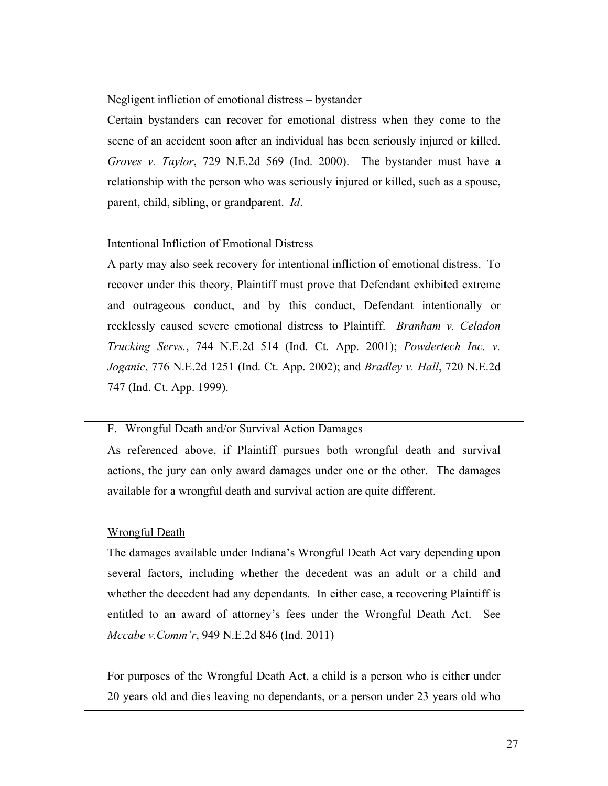### Negligent infliction of emotional distress – bystander

Certain bystanders can recover for emotional distress when they come to the scene of an accident soon after an individual has been seriously injured or killed. *Groves v. Taylor*, 729 N.E.2d 569 (Ind. 2000). The bystander must have a relationship with the person who was seriously injured or killed, such as a spouse, parent, child, sibling, or grandparent. *Id*.

### Intentional Infliction of Emotional Distress

A party may also seek recovery for intentional infliction of emotional distress. To recover under this theory, Plaintiff must prove that Defendant exhibited extreme and outrageous conduct, and by this conduct, Defendant intentionally or recklessly caused severe emotional distress to Plaintiff. *Branham v. Celadon Trucking Servs.*, 744 N.E.2d 514 (Ind. Ct. App. 2001); *Powdertech Inc. v. Joganic*, 776 N.E.2d 1251 (Ind. Ct. App. 2002); and *Bradley v. Hall*, 720 N.E.2d 747 (Ind. Ct. App. 1999).

### F. Wrongful Death and/or Survival Action Damages

As referenced above, if Plaintiff pursues both wrongful death and survival actions, the jury can only award damages under one or the other. The damages available for a wrongful death and survival action are quite different.

### Wrongful Death

The damages available under Indiana's Wrongful Death Act vary depending upon several factors, including whether the decedent was an adult or a child and whether the decedent had any dependants. In either case, a recovering Plaintiff is entitled to an award of attorney's fees under the Wrongful Death Act. See *Mccabe v.Comm'r*, 949 N.E.2d 846 (Ind. 2011)

For purposes of the Wrongful Death Act, a child is a person who is either under 20 years old and dies leaving no dependants, or a person under 23 years old who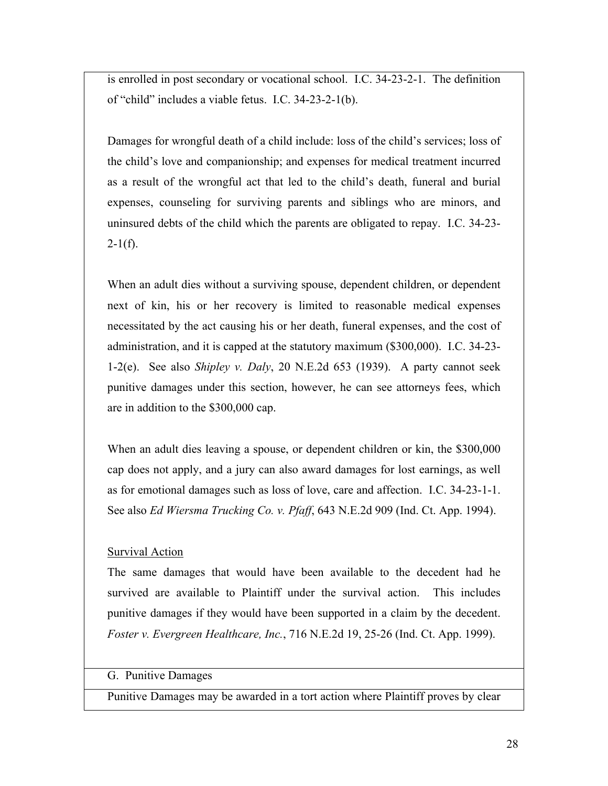is enrolled in post secondary or vocational school. I.C. 34-23-2-1. The definition of "child" includes a viable fetus. I.C. 34-23-2-1(b).

Damages for wrongful death of a child include: loss of the child's services; loss of the child's love and companionship; and expenses for medical treatment incurred as a result of the wrongful act that led to the child's death, funeral and burial expenses, counseling for surviving parents and siblings who are minors, and uninsured debts of the child which the parents are obligated to repay. I.C. 34-23-  $2-1(f)$ .

When an adult dies without a surviving spouse, dependent children, or dependent next of kin, his or her recovery is limited to reasonable medical expenses necessitated by the act causing his or her death, funeral expenses, and the cost of administration, and it is capped at the statutory maximum (\$300,000). I.C. 34-23- 1-2(e). See also *Shipley v. Daly*, 20 N.E.2d 653 (1939). A party cannot seek punitive damages under this section, however, he can see attorneys fees, which are in addition to the \$300,000 cap.

When an adult dies leaving a spouse, or dependent children or kin, the \$300,000 cap does not apply, and a jury can also award damages for lost earnings, as well as for emotional damages such as loss of love, care and affection. I.C. 34-23-1-1. See also *Ed Wiersma Trucking Co. v. Pfaff*, 643 N.E.2d 909 (Ind. Ct. App. 1994).

#### Survival Action

The same damages that would have been available to the decedent had he survived are available to Plaintiff under the survival action. This includes punitive damages if they would have been supported in a claim by the decedent. *Foster v. Evergreen Healthcare, Inc.*, 716 N.E.2d 19, 25-26 (Ind. Ct. App. 1999).

#### G. Punitive Damages

Punitive Damages may be awarded in a tort action where Plaintiff proves by clear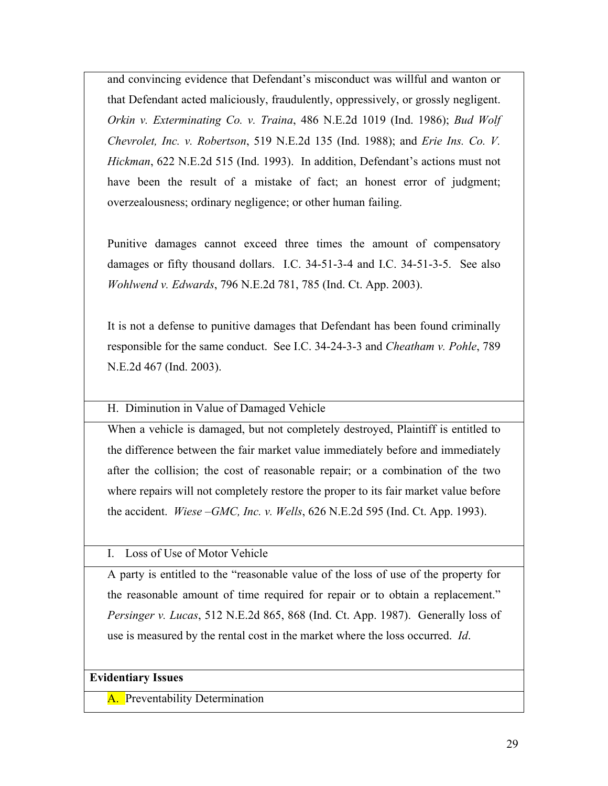and convincing evidence that Defendant's misconduct was willful and wanton or that Defendant acted maliciously, fraudulently, oppressively, or grossly negligent. *Orkin v. Exterminating Co. v. Traina*, 486 N.E.2d 1019 (Ind. 1986); *Bud Wolf Chevrolet, Inc. v. Robertson*, 519 N.E.2d 135 (Ind. 1988); and *Erie Ins. Co. V. Hickman*, 622 N.E.2d 515 (Ind. 1993). In addition, Defendant's actions must not have been the result of a mistake of fact; an honest error of judgment; overzealousness; ordinary negligence; or other human failing.

Punitive damages cannot exceed three times the amount of compensatory damages or fifty thousand dollars. I.C. 34-51-3-4 and I.C. 34-51-3-5. See also *Wohlwend v. Edwards*, 796 N.E.2d 781, 785 (Ind. Ct. App. 2003).

It is not a defense to punitive damages that Defendant has been found criminally responsible for the same conduct. See I.C. 34-24-3-3 and *Cheatham v. Pohle*, 789 N.E.2d 467 (Ind. 2003).

H. Diminution in Value of Damaged Vehicle

When a vehicle is damaged, but not completely destroyed, Plaintiff is entitled to the difference between the fair market value immediately before and immediately after the collision; the cost of reasonable repair; or a combination of the two where repairs will not completely restore the proper to its fair market value before the accident. *Wiese –GMC, Inc. v. Wells*, 626 N.E.2d 595 (Ind. Ct. App. 1993).

I. Loss of Use of Motor Vehicle

A party is entitled to the "reasonable value of the loss of use of the property for the reasonable amount of time required for repair or to obtain a replacement." *Persinger v. Lucas*, 512 N.E.2d 865, 868 (Ind. Ct. App. 1987).Generally loss of use is measured by the rental cost in the market where the loss occurred. *Id*.

### **Evidentiary Issues**

A. Preventability Determination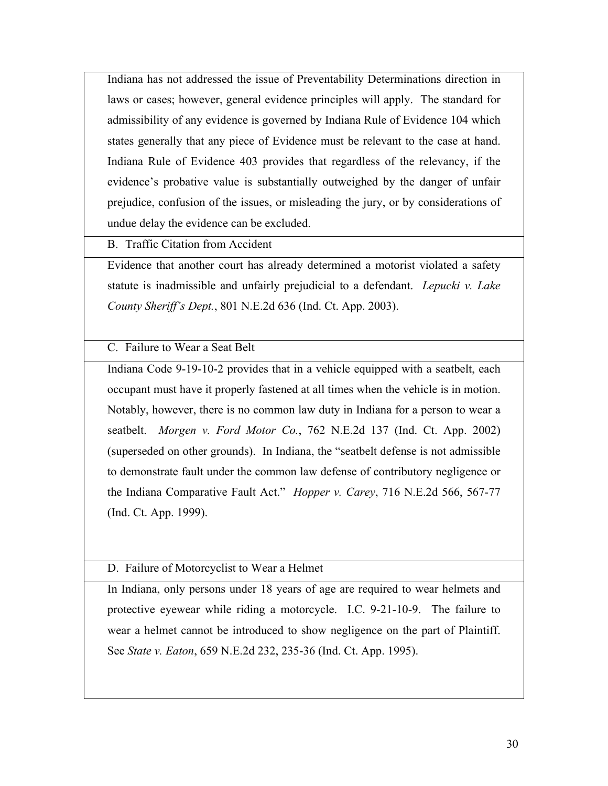Indiana has not addressed the issue of Preventability Determinations direction in laws or cases; however, general evidence principles will apply. The standard for admissibility of any evidence is governed by Indiana Rule of Evidence 104 which states generally that any piece of Evidence must be relevant to the case at hand. Indiana Rule of Evidence 403 provides that regardless of the relevancy, if the evidence's probative value is substantially outweighed by the danger of unfair prejudice, confusion of the issues, or misleading the jury, or by considerations of undue delay the evidence can be excluded.

B. Traffic Citation from Accident

Evidence that another court has already determined a motorist violated a safety statute is inadmissible and unfairly prejudicial to a defendant. *Lepucki v. Lake County Sheriff's Dept.*, 801 N.E.2d 636 (Ind. Ct. App. 2003).

C. Failure to Wear a Seat Belt

Indiana Code 9-19-10-2 provides that in a vehicle equipped with a seatbelt, each occupant must have it properly fastened at all times when the vehicle is in motion. Notably, however, there is no common law duty in Indiana for a person to wear a seatbelt. *Morgen v. Ford Motor Co.*, 762 N.E.2d 137 (Ind. Ct. App. 2002) (superseded on other grounds). In Indiana, the "seatbelt defense is not admissible to demonstrate fault under the common law defense of contributory negligence or the Indiana Comparative Fault Act." *Hopper v. Carey*, 716 N.E.2d 566, 567-77 (Ind. Ct. App. 1999).

D. Failure of Motorcyclist to Wear a Helmet

In Indiana, only persons under 18 years of age are required to wear helmets and protective eyewear while riding a motorcycle. I.C. 9-21-10-9. The failure to wear a helmet cannot be introduced to show negligence on the part of Plaintiff. See *State v. Eaton*, 659 N.E.2d 232, 235-36 (Ind. Ct. App. 1995).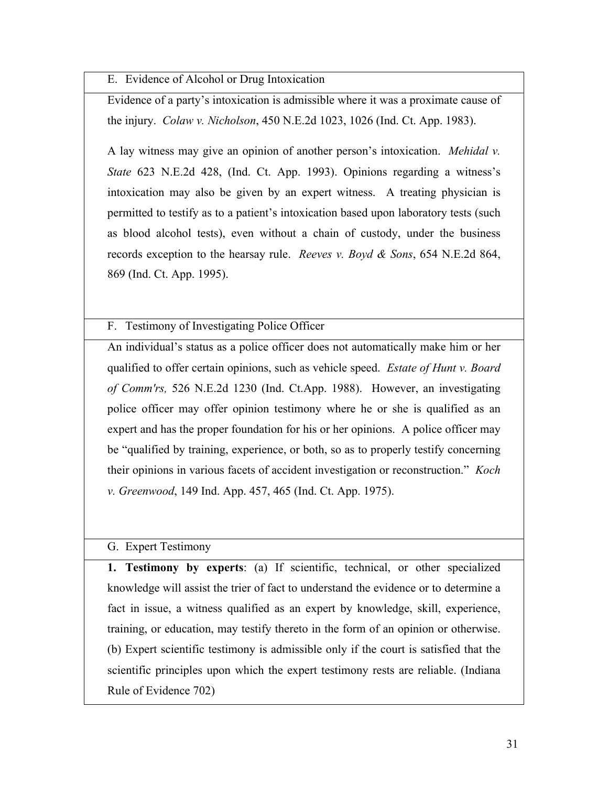E. Evidence of Alcohol or Drug Intoxication

Evidence of a party's intoxication is admissible where it was a proximate cause of the injury. *Colaw v. Nicholson*, 450 N.E.2d 1023, 1026 (Ind. Ct. App. 1983).

A lay witness may give an opinion of another person's intoxication. *Mehidal v. State* 623 N.E.2d 428, (Ind. Ct. App. 1993). Opinions regarding a witness's intoxication may also be given by an expert witness. A treating physician is permitted to testify as to a patient's intoxication based upon laboratory tests (such as blood alcohol tests), even without a chain of custody, under the business records exception to the hearsay rule. *Reeves v. Boyd & Sons*, 654 N.E.2d 864, 869 (Ind. Ct. App. 1995).

F. Testimony of Investigating Police Officer

An individual's status as a police officer does not automatically make him or her qualified to offer certain opinions, such as vehicle speed. *Estate of Hunt v. Board of Comm'rs,* 526 N.E.2d 1230 (Ind. Ct.App. 1988).However, an investigating police officer may offer opinion testimony where he or she is qualified as an expert and has the proper foundation for his or her opinions. A police officer may be "qualified by training, experience, or both, so as to properly testify concerning their opinions in various facets of accident investigation or reconstruction." *Koch v. Greenwood*, 149 Ind. App. 457, 465 (Ind. Ct. App. 1975).

## G. Expert Testimony

**1. Testimony by experts**: (a) If scientific, technical, or other specialized knowledge will assist the trier of fact to understand the evidence or to determine a fact in issue, a witness qualified as an expert by knowledge, skill, experience, training, or education, may testify thereto in the form of an opinion or otherwise. (b) Expert scientific testimony is admissible only if the court is satisfied that the scientific principles upon which the expert testimony rests are reliable. (Indiana Rule of Evidence 702)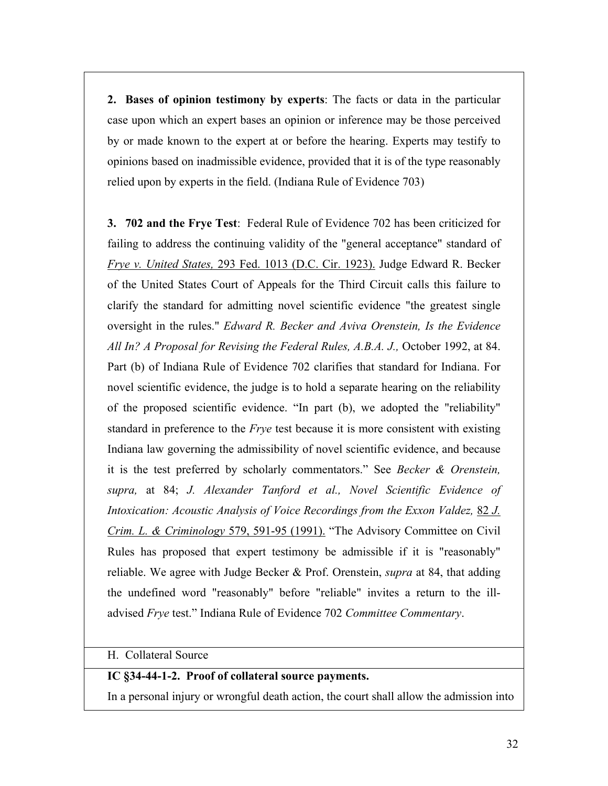**2. Bases of opinion testimony by experts**: The facts or data in the particular case upon which an expert bases an opinion or inference may be those perceived by or made known to the expert at or before the hearing. Experts may testify to opinions based on inadmissible evidence, provided that it is of the type reasonably relied upon by experts in the field. (Indiana Rule of Evidence 703)

**3. 702 and the Frye Test**: Federal Rule of Evidence 702 has been criticized for failing to address the continuing validity of the "general acceptance" standard of *Frye v. United States,* 293 Fed. 1013 (D.C. Cir. 1923). Judge Edward R. Becker of the United States Court of Appeals for the Third Circuit calls this failure to clarify the standard for admitting novel scientific evidence "the greatest single oversight in the rules." *Edward R. Becker and Aviva Orenstein, Is the Evidence All In? A Proposal for Revising the Federal Rules, A.B.A. J.,* October 1992, at 84. Part (b) of Indiana Rule of Evidence 702 clarifies that standard for Indiana. For novel scientific evidence, the judge is to hold a separate hearing on the reliability of the proposed scientific evidence. "In part (b), we adopted the "reliability" standard in preference to the *Frye* test because it is more consistent with existing Indiana law governing the admissibility of novel scientific evidence, and because it is the test preferred by scholarly commentators." See *Becker & Orenstein, supra,* at 84; *J. Alexander Tanford et al., Novel Scientific Evidence of Intoxication: Acoustic Analysis of Voice Recordings from the Exxon Valdez,* 82 *J. Crim. L. & Criminology* 579, 591-95 (1991). "The Advisory Committee on Civil Rules has proposed that expert testimony be admissible if it is "reasonably" reliable. We agree with Judge Becker & Prof. Orenstein, *supra* at 84, that adding the undefined word "reasonably" before "reliable" invites a return to the illadvised *Frye* test." Indiana Rule of Evidence 702 *Committee Commentary*.

## H. Collateral Source

### **IC §34-44-1-2. Proof of collateral source payments.**

In a personal injury or wrongful death action, the court shall allow the admission into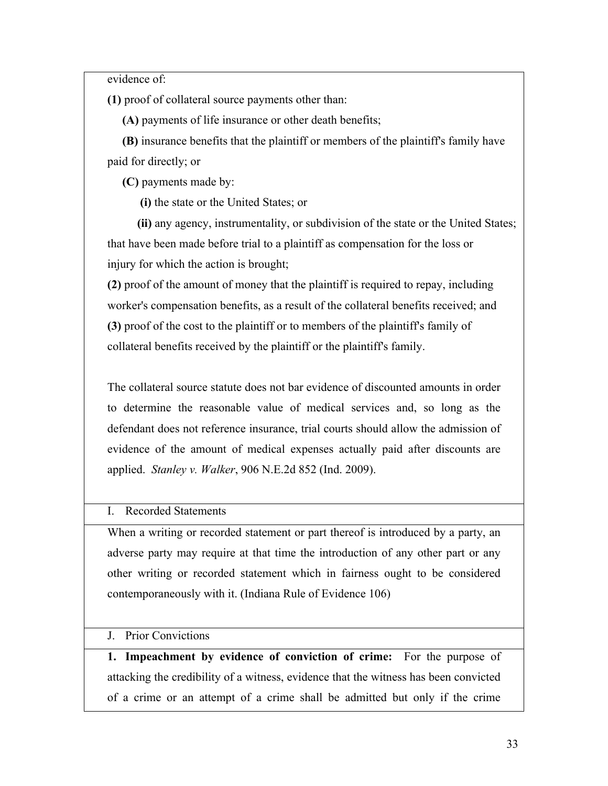evidence of:

**(1)** proof of collateral source payments other than:

**(A)** payments of life insurance or other death benefits;

 **(B)** insurance benefits that the plaintiff or members of the plaintiff's family have paid for directly; or

**(C)** payments made by:

**(i)** the state or the United States; or

 **(ii)** any agency, instrumentality, or subdivision of the state or the United States; that have been made before trial to a plaintiff as compensation for the loss or injury for which the action is brought;

**(2)** proof of the amount of money that the plaintiff is required to repay, including worker's compensation benefits, as a result of the collateral benefits received; and **(3)** proof of the cost to the plaintiff or to members of the plaintiff's family of collateral benefits received by the plaintiff or the plaintiff's family.

The collateral source statute does not bar evidence of discounted amounts in order to determine the reasonable value of medical services and, so long as the defendant does not reference insurance, trial courts should allow the admission of evidence of the amount of medical expenses actually paid after discounts are applied. *Stanley v. Walker*, 906 N.E.2d 852 (Ind. 2009).

I. Recorded Statements

When a writing or recorded statement or part thereof is introduced by a party, an adverse party may require at that time the introduction of any other part or any other writing or recorded statement which in fairness ought to be considered contemporaneously with it. (Indiana Rule of Evidence 106)

J. Prior Convictions

**1. Impeachment by evidence of conviction of crime:** For the purpose of attacking the credibility of a witness, evidence that the witness has been convicted of a crime or an attempt of a crime shall be admitted but only if the crime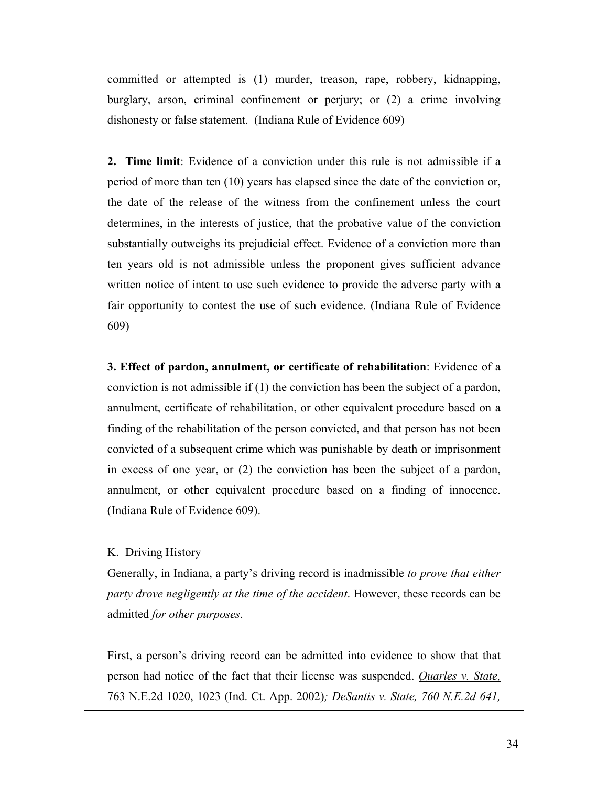committed or attempted is (1) murder, treason, rape, robbery, kidnapping, burglary, arson, criminal confinement or perjury; or (2) a crime involving dishonesty or false statement. (Indiana Rule of Evidence 609)

**2. Time limit**: Evidence of a conviction under this rule is not admissible if a period of more than ten (10) years has elapsed since the date of the conviction or, the date of the release of the witness from the confinement unless the court determines, in the interests of justice, that the probative value of the conviction substantially outweighs its prejudicial effect. Evidence of a conviction more than ten years old is not admissible unless the proponent gives sufficient advance written notice of intent to use such evidence to provide the adverse party with a fair opportunity to contest the use of such evidence. (Indiana Rule of Evidence 609)

**3. Effect of pardon, annulment, or certificate of rehabilitation**: Evidence of a conviction is not admissible if (1) the conviction has been the subject of a pardon, annulment, certificate of rehabilitation, or other equivalent procedure based on a finding of the rehabilitation of the person convicted, and that person has not been convicted of a subsequent crime which was punishable by death or imprisonment in excess of one year, or (2) the conviction has been the subject of a pardon, annulment, or other equivalent procedure based on a finding of innocence. (Indiana Rule of Evidence 609).

## K. Driving History

Generally, in Indiana, a party's driving record is inadmissible *to prove that either party drove negligently at the time of the accident*. However, these records can be admitted *for other purposes*.

First, a person's driving record can be admitted into evidence to show that that person had notice of the fact that their license was suspended. *Quarles v. State,* 763 N.E.2d 1020, 1023 (Ind. Ct. App. 2002)*; DeSantis v. State, 760 N.E.2d 641,*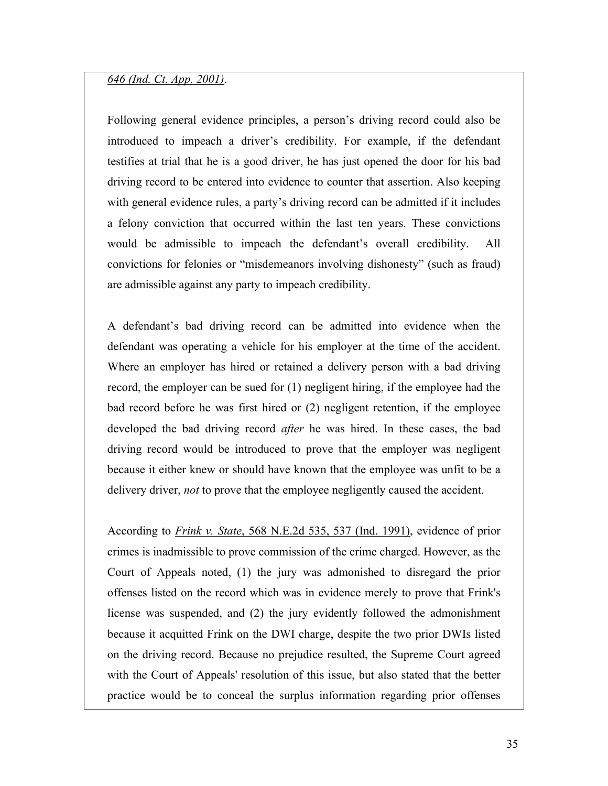#### *646 (Ind. Ct. App. 2001)*.

Following general evidence principles, a person's driving record could also be introduced to impeach a driver's credibility. For example, if the defendant testifies at trial that he is a good driver, he has just opened the door for his bad driving record to be entered into evidence to counter that assertion. Also keeping with general evidence rules, a party's driving record can be admitted if it includes a felony conviction that occurred within the last ten years. These convictions would be admissible to impeach the defendant's overall credibility. All convictions for felonies or "misdemeanors involving dishonesty" (such as fraud) are admissible against any party to impeach credibility.

A defendant's bad driving record can be admitted into evidence when the defendant was operating a vehicle for his employer at the time of the accident. Where an employer has hired or retained a delivery person with a bad driving record, the employer can be sued for (1) negligent hiring, if the employee had the bad record before he was first hired or (2) negligent retention, if the employee developed the bad driving record *after* he was hired. In these cases, the bad driving record would be introduced to prove that the employer was negligent because it either knew or should have known that the employee was unfit to be a delivery driver, *not* to prove that the employee negligently caused the accident.

According to *Frink v. State*, 568 N.E.2d 535, 537 (Ind. 1991), evidence of prior crimes is inadmissible to prove commission of the crime charged. However, as the Court of Appeals noted, (1) the jury was admonished to disregard the prior offenses listed on the record which was in evidence merely to prove that Frink's license was suspended, and (2) the jury evidently followed the admonishment because it acquitted Frink on the DWI charge, despite the two prior DWIs listed on the driving record. Because no prejudice resulted, the Supreme Court agreed with the Court of Appeals' resolution of this issue, but also stated that the better practice would be to conceal the surplus information regarding prior offenses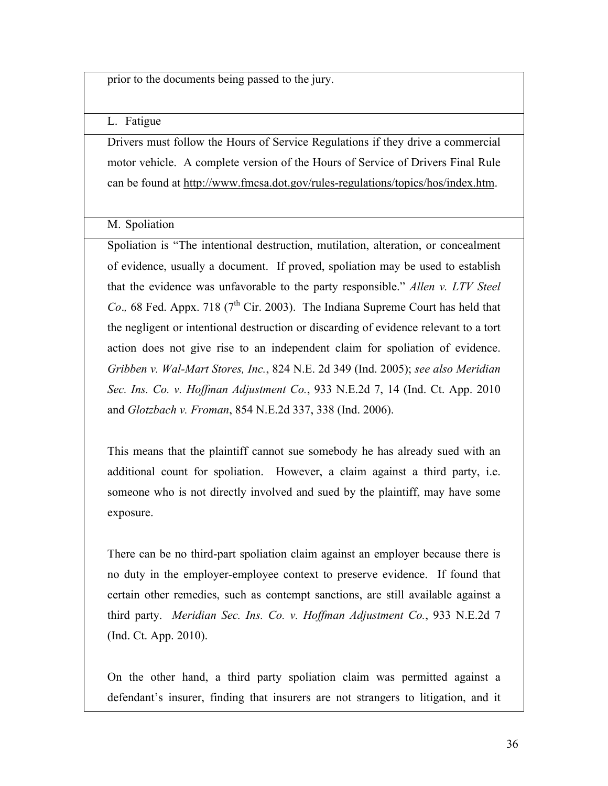prior to the documents being passed to the jury.

L. Fatigue

Drivers must follow the Hours of Service Regulations if they drive a commercial motor vehicle. A complete version of the Hours of Service of Drivers Final Rule can be found at http://www.fmcsa.dot.gov/rules-regulations/topics/hos/index.htm.

M. Spoliation

Spoliation is "The intentional destruction, mutilation, alteration, or concealment of evidence, usually a document. If proved, spoliation may be used to establish that the evidence was unfavorable to the party responsible." *Allen v. LTV Steel Co.*, 68 Fed. Appx. 718 ( $7<sup>th</sup>$  Cir. 2003). The Indiana Supreme Court has held that the negligent or intentional destruction or discarding of evidence relevant to a tort action does not give rise to an independent claim for spoliation of evidence. *Gribben v. Wal-Mart Stores, Inc.*, 824 N.E. 2d 349 (Ind. 2005); *see also Meridian Sec. Ins. Co. v. Hoffman Adjustment Co.*, 933 N.E.2d 7, 14 (Ind. Ct. App. 2010 and *Glotzbach v. Froman*, 854 N.E.2d 337, 338 (Ind. 2006).

This means that the plaintiff cannot sue somebody he has already sued with an additional count for spoliation. However, a claim against a third party, i.e. someone who is not directly involved and sued by the plaintiff, may have some exposure.

There can be no third-part spoliation claim against an employer because there is no duty in the employer-employee context to preserve evidence. If found that certain other remedies, such as contempt sanctions, are still available against a third party. *Meridian Sec. Ins. Co. v. Hoffman Adjustment Co.*, 933 N.E.2d 7 (Ind. Ct. App. 2010).

On the other hand, a third party spoliation claim was permitted against a defendant's insurer, finding that insurers are not strangers to litigation, and it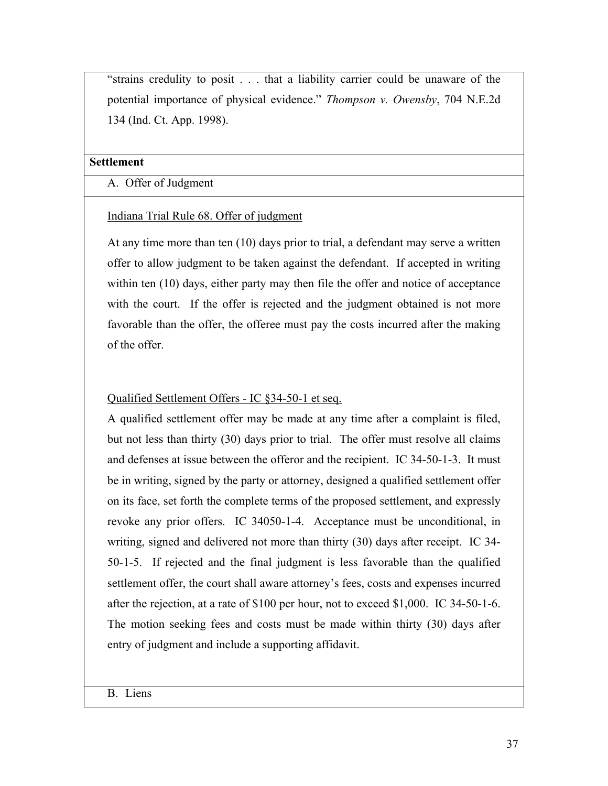"strains credulity to posit . . . that a liability carrier could be unaware of the potential importance of physical evidence." *Thompson v. Owensby*, 704 N.E.2d 134 (Ind. Ct. App. 1998).

#### **Settlement**

A. Offer of Judgment

### Indiana Trial Rule 68. Offer of judgment

At any time more than ten (10) days prior to trial, a defendant may serve a written offer to allow judgment to be taken against the defendant. If accepted in writing within ten (10) days, either party may then file the offer and notice of acceptance with the court. If the offer is rejected and the judgment obtained is not more favorable than the offer, the offeree must pay the costs incurred after the making of the offer.

## Qualified Settlement Offers - IC §34-50-1 et seq.

A qualified settlement offer may be made at any time after a complaint is filed, but not less than thirty (30) days prior to trial. The offer must resolve all claims and defenses at issue between the offeror and the recipient. IC 34-50-1-3. It must be in writing, signed by the party or attorney, designed a qualified settlement offer on its face, set forth the complete terms of the proposed settlement, and expressly revoke any prior offers. IC 34050-1-4. Acceptance must be unconditional, in writing, signed and delivered not more than thirty (30) days after receipt. IC 34- 50-1-5. If rejected and the final judgment is less favorable than the qualified settlement offer, the court shall aware attorney's fees, costs and expenses incurred after the rejection, at a rate of \$100 per hour, not to exceed \$1,000. IC 34-50-1-6. The motion seeking fees and costs must be made within thirty (30) days after entry of judgment and include a supporting affidavit.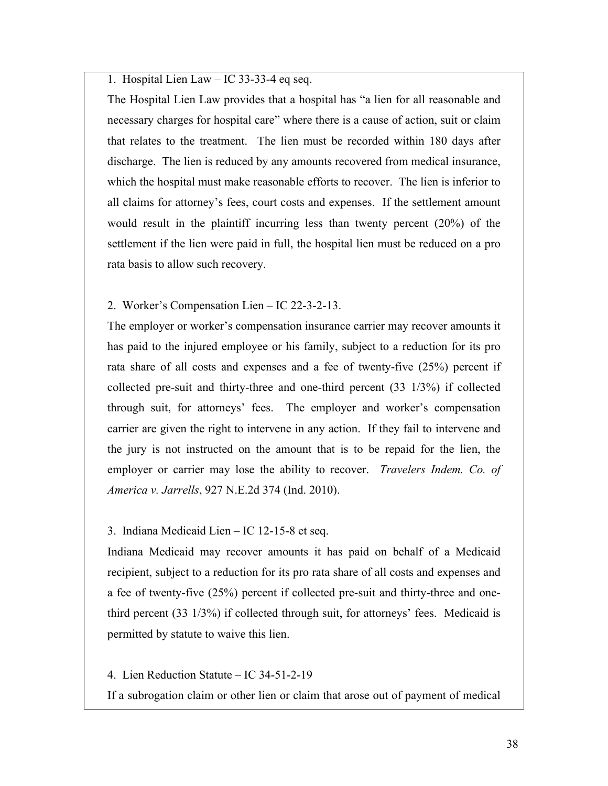1. Hospital Lien Law – IC 33-33-4 eq seq.

The Hospital Lien Law provides that a hospital has "a lien for all reasonable and necessary charges for hospital care" where there is a cause of action, suit or claim that relates to the treatment. The lien must be recorded within 180 days after discharge. The lien is reduced by any amounts recovered from medical insurance, which the hospital must make reasonable efforts to recover. The lien is inferior to all claims for attorney's fees, court costs and expenses. If the settlement amount would result in the plaintiff incurring less than twenty percent (20%) of the settlement if the lien were paid in full, the hospital lien must be reduced on a pro rata basis to allow such recovery.

### 2. Worker's Compensation Lien – IC 22-3-2-13.

The employer or worker's compensation insurance carrier may recover amounts it has paid to the injured employee or his family, subject to a reduction for its pro rata share of all costs and expenses and a fee of twenty-five (25%) percent if collected pre-suit and thirty-three and one-third percent (33 1/3%) if collected through suit, for attorneys' fees. The employer and worker's compensation carrier are given the right to intervene in any action. If they fail to intervene and the jury is not instructed on the amount that is to be repaid for the lien, the employer or carrier may lose the ability to recover. *Travelers Indem. Co. of America v. Jarrells*, 927 N.E.2d 374 (Ind. 2010).

### 3. Indiana Medicaid Lien – IC 12-15-8 et seq.

Indiana Medicaid may recover amounts it has paid on behalf of a Medicaid recipient, subject to a reduction for its pro rata share of all costs and expenses and a fee of twenty-five (25%) percent if collected pre-suit and thirty-three and onethird percent (33 1/3%) if collected through suit, for attorneys' fees. Medicaid is permitted by statute to waive this lien.

### 4. Lien Reduction Statute – IC 34-51-2-19

If a subrogation claim or other lien or claim that arose out of payment of medical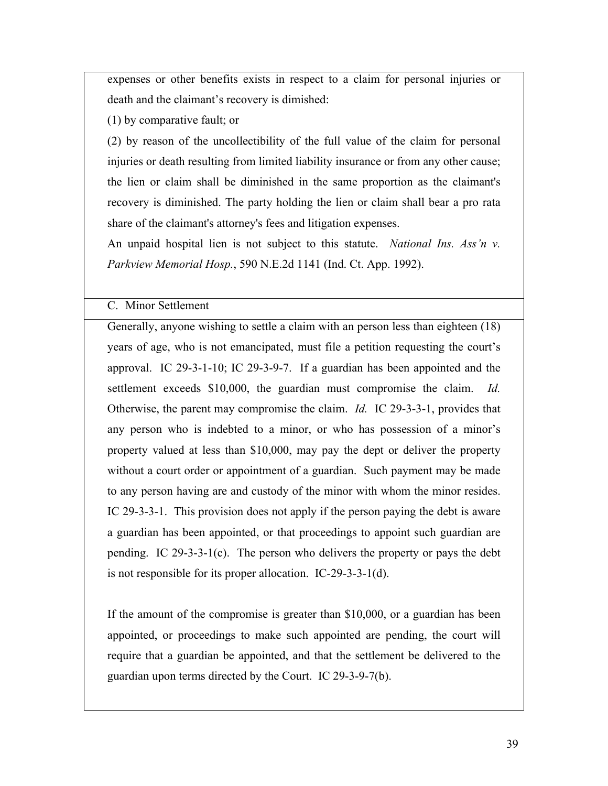expenses or other benefits exists in respect to a claim for personal injuries or death and the claimant's recovery is dimished:

(1) by comparative fault; or

(2) by reason of the uncollectibility of the full value of the claim for personal injuries or death resulting from limited liability insurance or from any other cause; the lien or claim shall be diminished in the same proportion as the claimant's recovery is diminished. The party holding the lien or claim shall bear a pro rata share of the claimant's attorney's fees and litigation expenses.

An unpaid hospital lien is not subject to this statute. *National Ins. Ass'n v. Parkview Memorial Hosp.*, 590 N.E.2d 1141 (Ind. Ct. App. 1992).

### C. Minor Settlement

Generally, anyone wishing to settle a claim with an person less than eighteen (18) years of age, who is not emancipated, must file a petition requesting the court's approval. IC 29-3-1-10; IC 29-3-9-7. If a guardian has been appointed and the settlement exceeds \$10,000, the guardian must compromise the claim. *Id.* Otherwise, the parent may compromise the claim. *Id.* IC 29-3-3-1, provides that any person who is indebted to a minor, or who has possession of a minor's property valued at less than \$10,000, may pay the dept or deliver the property without a court order or appointment of a guardian. Such payment may be made to any person having are and custody of the minor with whom the minor resides. IC 29-3-3-1. This provision does not apply if the person paying the debt is aware a guardian has been appointed, or that proceedings to appoint such guardian are pending. IC 29-3-3-1(c). The person who delivers the property or pays the debt is not responsible for its proper allocation. IC-29-3-3-1(d).

If the amount of the compromise is greater than \$10,000, or a guardian has been appointed, or proceedings to make such appointed are pending, the court will require that a guardian be appointed, and that the settlement be delivered to the guardian upon terms directed by the Court. IC 29-3-9-7(b).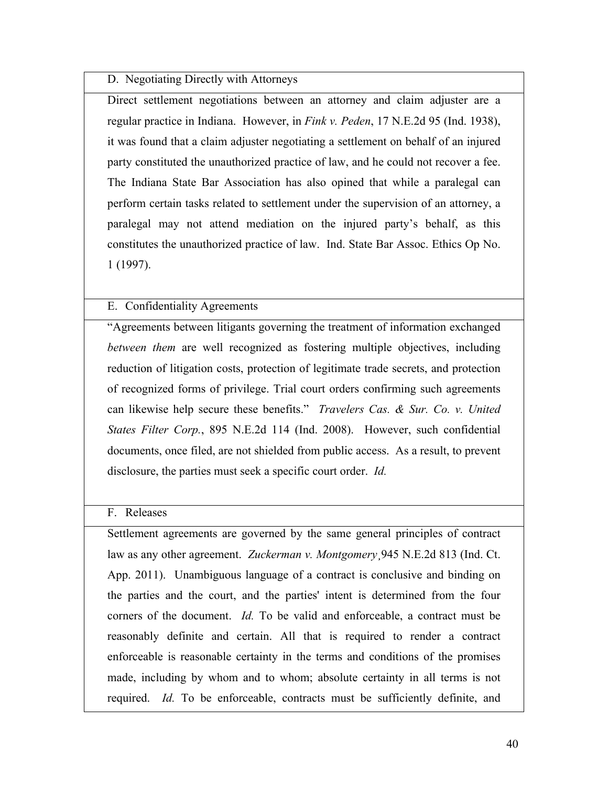### D. Negotiating Directly with Attorneys

Direct settlement negotiations between an attorney and claim adjuster are a regular practice in Indiana. However, in *Fink v. Peden*, 17 N.E.2d 95 (Ind. 1938), it was found that a claim adjuster negotiating a settlement on behalf of an injured party constituted the unauthorized practice of law, and he could not recover a fee. The Indiana State Bar Association has also opined that while a paralegal can perform certain tasks related to settlement under the supervision of an attorney, a paralegal may not attend mediation on the injured party's behalf, as this constitutes the unauthorized practice of law. Ind. State Bar Assoc. Ethics Op No. 1 (1997).

## E. Confidentiality Agreements

"Agreements between litigants governing the treatment of information exchanged *between them* are well recognized as fostering multiple objectives, including reduction of litigation costs, protection of legitimate trade secrets, and protection of recognized forms of privilege. Trial court orders confirming such agreements can likewise help secure these benefits." *Travelers Cas. & Sur. Co. v. United States Filter Corp.*, 895 N.E.2d 114 (Ind. 2008). However, such confidential documents, once filed, are not shielded from public access. As a result, to prevent disclosure, the parties must seek a specific court order. *Id.*

### F. Releases

Settlement agreements are governed by the same general principles of contract law as any other agreement. *Zuckerman v. Montgomery*¸945 N.E.2d 813 (Ind. Ct. App. 2011). Unambiguous language of a contract is conclusive and binding on the parties and the court, and the parties' intent is determined from the four corners of the document. *Id.* To be valid and enforceable, a contract must be reasonably definite and certain. All that is required to render a contract enforceable is reasonable certainty in the terms and conditions of the promises made, including by whom and to whom; absolute certainty in all terms is not required. *Id.* To be enforceable, contracts must be sufficiently definite, and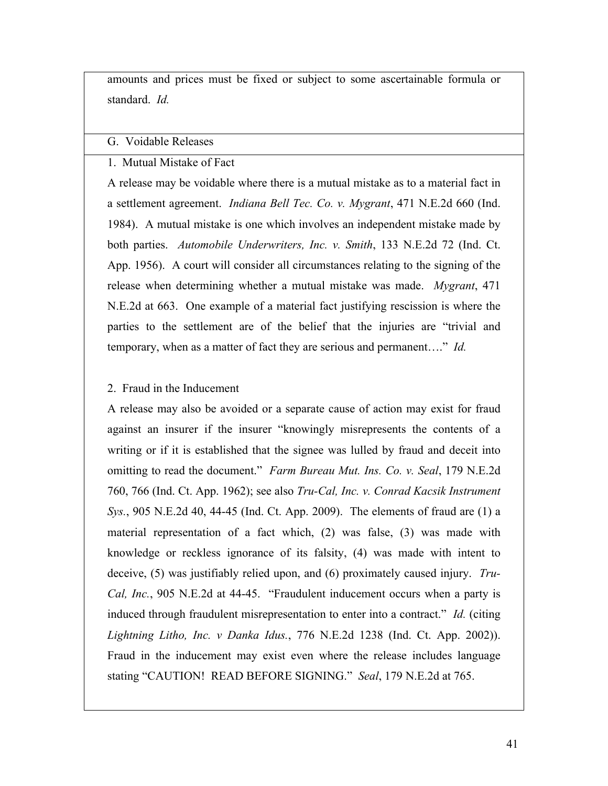amounts and prices must be fixed or subject to some ascertainable formula or standard. *Id.*

#### G. Voidable Releases

1. Mutual Mistake of Fact

A release may be voidable where there is a mutual mistake as to a material fact in a settlement agreement. *Indiana Bell Tec. Co. v. Mygrant*, 471 N.E.2d 660 (Ind. 1984). A mutual mistake is one which involves an independent mistake made by both parties. *Automobile Underwriters, Inc. v. Smith*, 133 N.E.2d 72 (Ind. Ct. App. 1956). A court will consider all circumstances relating to the signing of the release when determining whether a mutual mistake was made. *Mygrant*, 471 N.E.2d at 663. One example of a material fact justifying rescission is where the parties to the settlement are of the belief that the injuries are "trivial and temporary, when as a matter of fact they are serious and permanent…." *Id.*

### 2. Fraud in the Inducement

A release may also be avoided or a separate cause of action may exist for fraud against an insurer if the insurer "knowingly misrepresents the contents of a writing or if it is established that the signee was lulled by fraud and deceit into omitting to read the document." *Farm Bureau Mut. Ins. Co. v. Seal*, 179 N.E.2d 760, 766 (Ind. Ct. App. 1962); see also *Tru-Cal, Inc. v. Conrad Kacsik Instrument Sys.*, 905 N.E.2d 40, 44-45 (Ind. Ct. App. 2009). The elements of fraud are (1) a material representation of a fact which, (2) was false, (3) was made with knowledge or reckless ignorance of its falsity, (4) was made with intent to deceive, (5) was justifiably relied upon, and (6) proximately caused injury. *Tru-Cal, Inc.*, 905 N.E.2d at 44-45. "Fraudulent inducement occurs when a party is induced through fraudulent misrepresentation to enter into a contract." *Id.* (citing *Lightning Litho, Inc. v Danka Idus.*, 776 N.E.2d 1238 (Ind. Ct. App. 2002)). Fraud in the inducement may exist even where the release includes language stating "CAUTION! READ BEFORE SIGNING." *Seal*, 179 N.E.2d at 765.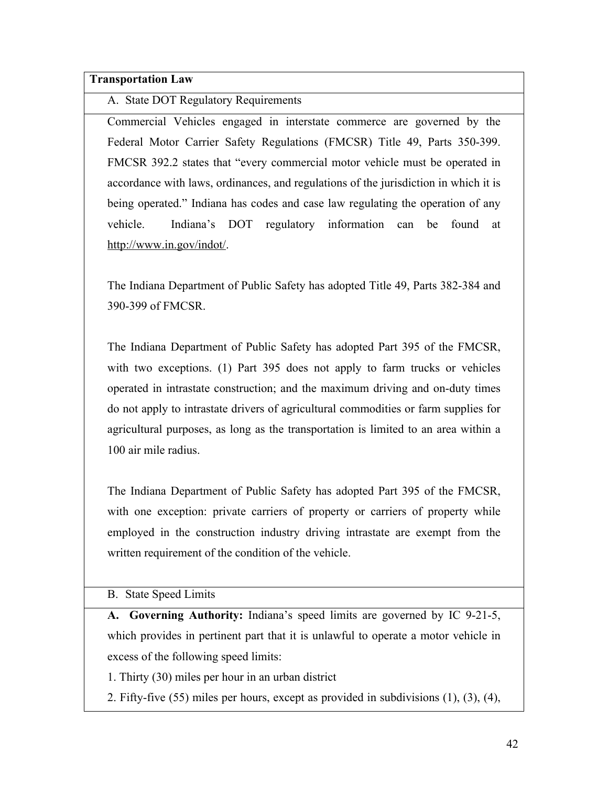**Transportation Law**

A. State DOT Regulatory Requirements

Commercial Vehicles engaged in interstate commerce are governed by the Federal Motor Carrier Safety Regulations (FMCSR) Title 49, Parts 350-399. FMCSR 392.2 states that "every commercial motor vehicle must be operated in accordance with laws, ordinances, and regulations of the jurisdiction in which it is being operated." Indiana has codes and case law regulating the operation of any vehicle. Indiana's DOT regulatory information can be found at http://www.in.gov/indot/.

The Indiana Department of Public Safety has adopted Title 49, Parts 382-384 and 390-399 of FMCSR.

The Indiana Department of Public Safety has adopted Part 395 of the FMCSR, with two exceptions. (1) Part 395 does not apply to farm trucks or vehicles operated in intrastate construction; and the maximum driving and on-duty times do not apply to intrastate drivers of agricultural commodities or farm supplies for agricultural purposes, as long as the transportation is limited to an area within a 100 air mile radius.

The Indiana Department of Public Safety has adopted Part 395 of the FMCSR, with one exception: private carriers of property or carriers of property while employed in the construction industry driving intrastate are exempt from the written requirement of the condition of the vehicle.

B. State Speed Limits

**A. Governing Authority:** Indiana's speed limits are governed by IC 9-21-5, which provides in pertinent part that it is unlawful to operate a motor vehicle in excess of the following speed limits:

1. Thirty (30) miles per hour in an urban district

2. Fifty-five (55) miles per hours, except as provided in subdivisions (1), (3), (4),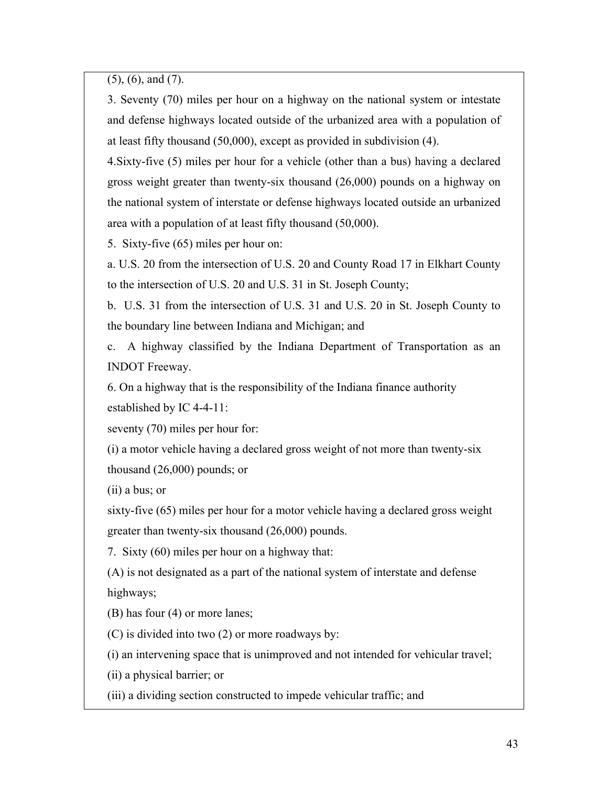(5), (6), and (7).

3. Seventy (70) miles per hour on a highway on the national system or intestate and defense highways located outside of the urbanized area with a population of at least fifty thousand (50,000), except as provided in subdivision (4).

4.Sixty-five (5) miles per hour for a vehicle (other than a bus) having a declared gross weight greater than twenty-six thousand (26,000) pounds on a highway on the national system of interstate or defense highways located outside an urbanized area with a population of at least fifty thousand (50,000).

5. Sixty-five (65) miles per hour on:

a. U.S. 20 from the intersection of U.S. 20 and County Road 17 in Elkhart County to the intersection of U.S. 20 and U.S. 31 in St. Joseph County;

b. U.S. 31 from the intersection of U.S. 31 and U.S. 20 in St. Joseph County to the boundary line between Indiana and Michigan; and

c. A highway classified by the Indiana Department of Transportation as an INDOT Freeway.

6. On a highway that is the responsibility of the Indiana finance authority established by IC 4-4-11:

seventy (70) miles per hour for:

(i) a motor vehicle having a declared gross weight of not more than twenty-six thousand (26,000) pounds; or

(ii) a bus; or

sixty-five (65) miles per hour for a motor vehicle having a declared gross weight greater than twenty-six thousand (26,000) pounds.

7. Sixty (60) miles per hour on a highway that:

(A) is not designated as a part of the national system of interstate and defense highways;

(B) has four (4) or more lanes;

(C) is divided into two (2) or more roadways by:

(i) an intervening space that is unimproved and not intended for vehicular travel;

(ii) a physical barrier; or

(iii) a dividing section constructed to impede vehicular traffic; and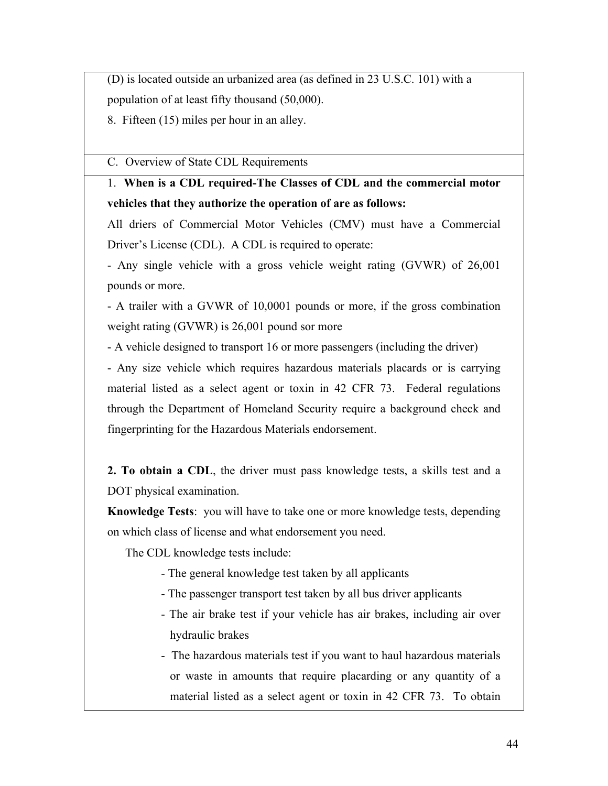(D) is located outside an urbanized area (as defined in 23 U.S.C. 101) with a population of at least fifty thousand (50,000).

8. Fifteen (15) miles per hour in an alley.

C. Overview of State CDL Requirements

# 1. **When is a CDL required-The Classes of CDL and the commercial motor vehicles that they authorize the operation of are as follows:**

All driers of Commercial Motor Vehicles (CMV) must have a Commercial Driver's License (CDL). A CDL is required to operate:

- Any single vehicle with a gross vehicle weight rating (GVWR) of 26,001 pounds or more.

- A trailer with a GVWR of 10,0001 pounds or more, if the gross combination weight rating (GVWR) is 26,001 pound sor more

- A vehicle designed to transport 16 or more passengers (including the driver)

- Any size vehicle which requires hazardous materials placards or is carrying material listed as a select agent or toxin in 42 CFR 73. Federal regulations through the Department of Homeland Security require a background check and fingerprinting for the Hazardous Materials endorsement.

**2. To obtain a CDL**, the driver must pass knowledge tests, a skills test and a DOT physical examination.

**Knowledge Tests**: you will have to take one or more knowledge tests, depending on which class of license and what endorsement you need.

The CDL knowledge tests include:

- The general knowledge test taken by all applicants
- The passenger transport test taken by all bus driver applicants
- The air brake test if your vehicle has air brakes, including air over hydraulic brakes
- The hazardous materials test if you want to haul hazardous materials or waste in amounts that require placarding or any quantity of a material listed as a select agent or toxin in 42 CFR 73. To obtain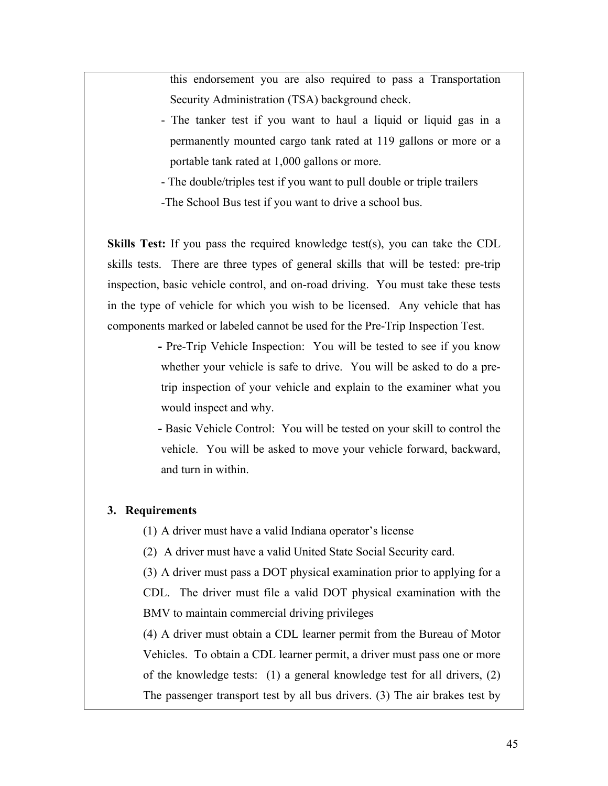this endorsement you are also required to pass a Transportation Security Administration (TSA) background check.

- The tanker test if you want to haul a liquid or liquid gas in a permanently mounted cargo tank rated at 119 gallons or more or a portable tank rated at 1,000 gallons or more.
- The double/triples test if you want to pull double or triple trailers -The School Bus test if you want to drive a school bus.

**Skills Test:** If you pass the required knowledge test(s), you can take the CDL skills tests. There are three types of general skills that will be tested: pre-trip inspection, basic vehicle control, and on-road driving. You must take these tests in the type of vehicle for which you wish to be licensed. Any vehicle that has components marked or labeled cannot be used for the Pre-Trip Inspection Test.

> **-** Pre-Trip Vehicle Inspection: You will be tested to see if you know whether your vehicle is safe to drive. You will be asked to do a pretrip inspection of your vehicle and explain to the examiner what you would inspect and why.

> **-** Basic Vehicle Control: You will be tested on your skill to control the vehicle. You will be asked to move your vehicle forward, backward, and turn in within.

#### **3. Requirements**

(1) A driver must have a valid Indiana operator's license

(2) A driver must have a valid United State Social Security card.

(3) A driver must pass a DOT physical examination prior to applying for a CDL. The driver must file a valid DOT physical examination with the BMV to maintain commercial driving privileges

(4) A driver must obtain a CDL learner permit from the Bureau of Motor Vehicles. To obtain a CDL learner permit, a driver must pass one or more of the knowledge tests: (1) a general knowledge test for all drivers, (2) The passenger transport test by all bus drivers. (3) The air brakes test by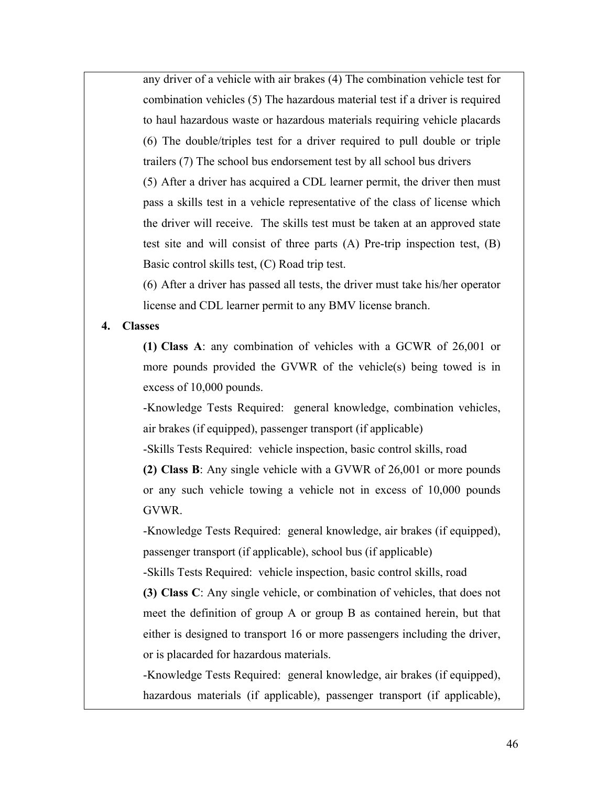any driver of a vehicle with air brakes (4) The combination vehicle test for combination vehicles (5) The hazardous material test if a driver is required to haul hazardous waste or hazardous materials requiring vehicle placards (6) The double/triples test for a driver required to pull double or triple trailers (7) The school bus endorsement test by all school bus drivers (5) After a driver has acquired a CDL learner permit, the driver then must pass a skills test in a vehicle representative of the class of license which the driver will receive. The skills test must be taken at an approved state test site and will consist of three parts (A) Pre-trip inspection test, (B) Basic control skills test, (C) Road trip test.

(6) After a driver has passed all tests, the driver must take his/her operator license and CDL learner permit to any BMV license branch.

#### **4. Classes**

**(1) Class A**: any combination of vehicles with a GCWR of 26,001 or more pounds provided the GVWR of the vehicle(s) being towed is in excess of 10,000 pounds.

-Knowledge Tests Required: general knowledge, combination vehicles, air brakes (if equipped), passenger transport (if applicable)

-Skills Tests Required: vehicle inspection, basic control skills, road

**(2) Class B**: Any single vehicle with a GVWR of 26,001 or more pounds or any such vehicle towing a vehicle not in excess of 10,000 pounds GVWR.

-Knowledge Tests Required: general knowledge, air brakes (if equipped), passenger transport (if applicable), school bus (if applicable)

-Skills Tests Required: vehicle inspection, basic control skills, road

**(3) Class C**: Any single vehicle, or combination of vehicles, that does not meet the definition of group A or group B as contained herein, but that either is designed to transport 16 or more passengers including the driver, or is placarded for hazardous materials.

-Knowledge Tests Required: general knowledge, air brakes (if equipped), hazardous materials (if applicable), passenger transport (if applicable),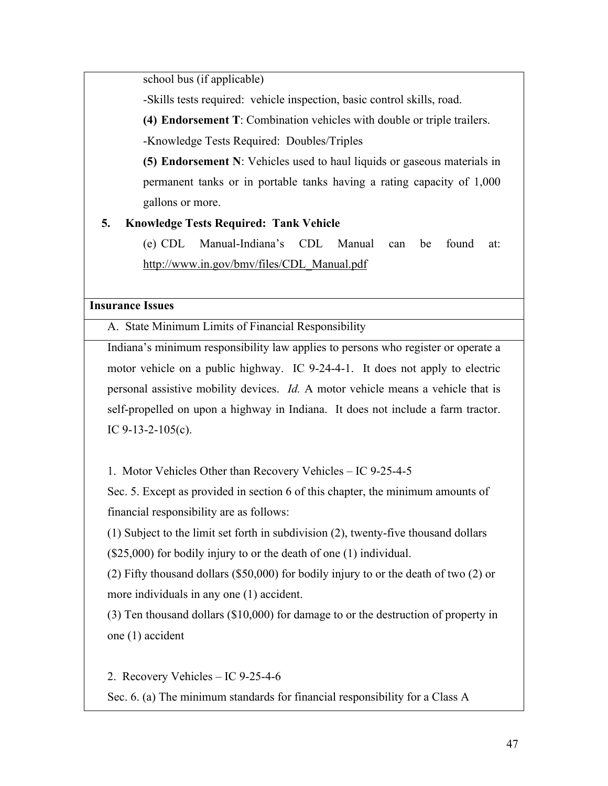school bus (if applicable)

-Skills tests required: vehicle inspection, basic control skills, road.

**(4) Endorsement T**: Combination vehicles with double or triple trailers.

-Knowledge Tests Required: Doubles/Triples

**(5) Endorsement N**: Vehicles used to haul liquids or gaseous materials in permanent tanks or in portable tanks having a rating capacity of 1,000 gallons or more.

## **5. Knowledge Tests Required: Tank Vehicle**

(e) CDL Manual-Indiana's CDL Manual can be found at: http://www.in.gov/bmv/files/CDL\_Manual.pdf

## **Insurance Issues**

A. State Minimum Limits of Financial Responsibility

Indiana's minimum responsibility law applies to persons who register or operate a motor vehicle on a public highway. IC 9-24-4-1. It does not apply to electric personal assistive mobility devices. *Id.* A motor vehicle means a vehicle that is self-propelled on upon a highway in Indiana. It does not include a farm tractor. IC  $9-13-2-105(c)$ .

1. Motor Vehicles Other than Recovery Vehicles – IC 9-25-4-5

Sec. 5. Except as provided in section 6 of this chapter, the minimum amounts of financial responsibility are as follows:

(1) Subject to the limit set forth in subdivision (2), twenty-five thousand dollars (\$25,000) for bodily injury to or the death of one (1) individual.

(2) Fifty thousand dollars (\$50,000) for bodily injury to or the death of two (2) or more individuals in any one (1) accident.

(3) Ten thousand dollars (\$10,000) for damage to or the destruction of property in one (1) accident

2. Recovery Vehicles – IC 9-25-4-6

Sec. 6. (a) The minimum standards for financial responsibility for a Class A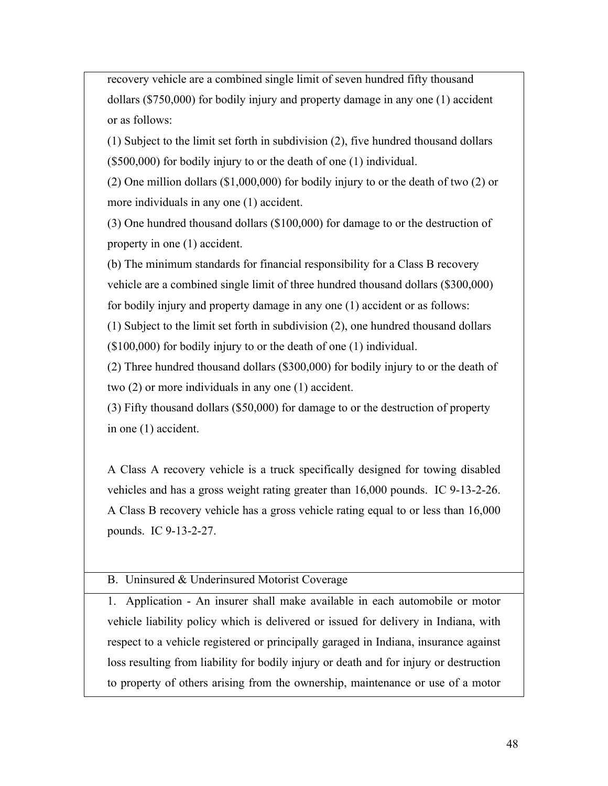recovery vehicle are a combined single limit of seven hundred fifty thousand dollars (\$750,000) for bodily injury and property damage in any one (1) accident or as follows:

(1) Subject to the limit set forth in subdivision (2), five hundred thousand dollars (\$500,000) for bodily injury to or the death of one (1) individual.

(2) One million dollars (\$1,000,000) for bodily injury to or the death of two (2) or more individuals in any one (1) accident.

(3) One hundred thousand dollars (\$100,000) for damage to or the destruction of property in one (1) accident.

(b) The minimum standards for financial responsibility for a Class B recovery vehicle are a combined single limit of three hundred thousand dollars (\$300,000) for bodily injury and property damage in any one (1) accident or as follows:

(1) Subject to the limit set forth in subdivision (2), one hundred thousand dollars (\$100,000) for bodily injury to or the death of one (1) individual.

(2) Three hundred thousand dollars (\$300,000) for bodily injury to or the death of two (2) or more individuals in any one (1) accident.

(3) Fifty thousand dollars (\$50,000) for damage to or the destruction of property in one (1) accident.

A Class A recovery vehicle is a truck specifically designed for towing disabled vehicles and has a gross weight rating greater than 16,000 pounds. IC 9-13-2-26. A Class B recovery vehicle has a gross vehicle rating equal to or less than 16,000 pounds. IC 9-13-2-27.

## B. Uninsured & Underinsured Motorist Coverage

1. Application - An insurer shall make available in each automobile or motor vehicle liability policy which is delivered or issued for delivery in Indiana, with respect to a vehicle registered or principally garaged in Indiana, insurance against loss resulting from liability for bodily injury or death and for injury or destruction to property of others arising from the ownership, maintenance or use of a motor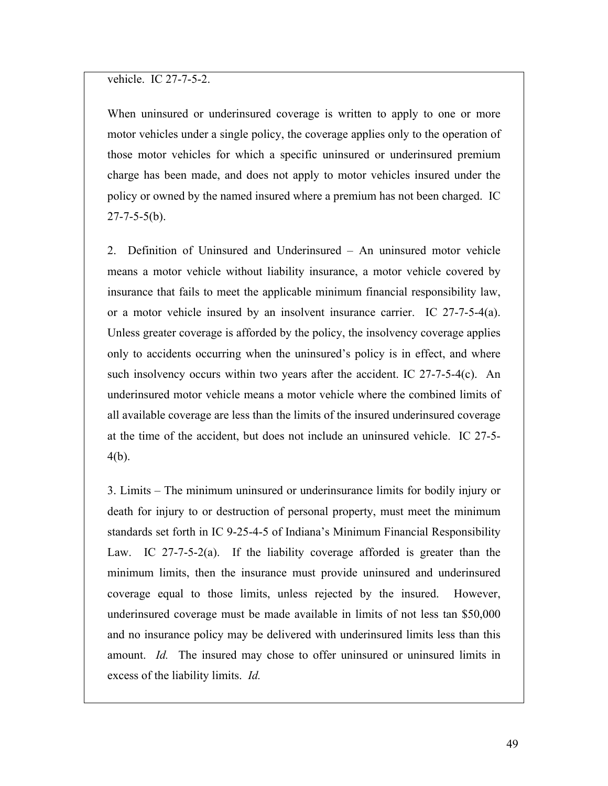vehicle. IC 27-7-5-2.

When uninsured or underinsured coverage is written to apply to one or more motor vehicles under a single policy, the coverage applies only to the operation of those motor vehicles for which a specific uninsured or underinsured premium charge has been made, and does not apply to motor vehicles insured under the policy or owned by the named insured where a premium has not been charged. IC  $27 - 7 - 5 - 5(b)$ .

2. Definition of Uninsured and Underinsured – An uninsured motor vehicle means a motor vehicle without liability insurance, a motor vehicle covered by insurance that fails to meet the applicable minimum financial responsibility law, or a motor vehicle insured by an insolvent insurance carrier. IC  $27-7-5-4(a)$ . Unless greater coverage is afforded by the policy, the insolvency coverage applies only to accidents occurring when the uninsured's policy is in effect, and where such insolvency occurs within two years after the accident. IC 27-7-5-4(c). An underinsured motor vehicle means a motor vehicle where the combined limits of all available coverage are less than the limits of the insured underinsured coverage at the time of the accident, but does not include an uninsured vehicle. IC 27-5- 4(b).

3. Limits – The minimum uninsured or underinsurance limits for bodily injury or death for injury to or destruction of personal property, must meet the minimum standards set forth in IC 9-25-4-5 of Indiana's Minimum Financial Responsibility Law. IC 27-7-5-2(a). If the liability coverage afforded is greater than the minimum limits, then the insurance must provide uninsured and underinsured coverage equal to those limits, unless rejected by the insured. However, underinsured coverage must be made available in limits of not less tan \$50,000 and no insurance policy may be delivered with underinsured limits less than this amount. *Id.* The insured may chose to offer uninsured or uninsured limits in excess of the liability limits. *Id.*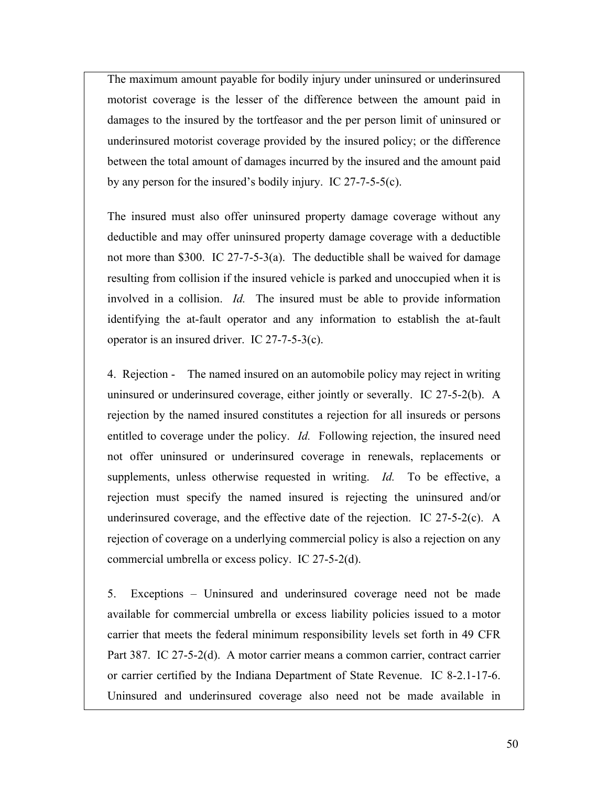The maximum amount payable for bodily injury under uninsured or underinsured motorist coverage is the lesser of the difference between the amount paid in damages to the insured by the tortfeasor and the per person limit of uninsured or underinsured motorist coverage provided by the insured policy; or the difference between the total amount of damages incurred by the insured and the amount paid by any person for the insured's bodily injury. IC 27-7-5-5(c).

The insured must also offer uninsured property damage coverage without any deductible and may offer uninsured property damage coverage with a deductible not more than \$300. IC 27-7-5-3(a). The deductible shall be waived for damage resulting from collision if the insured vehicle is parked and unoccupied when it is involved in a collision. *Id.* The insured must be able to provide information identifying the at-fault operator and any information to establish the at-fault operator is an insured driver. IC 27-7-5-3(c).

4. Rejection - The named insured on an automobile policy may reject in writing uninsured or underinsured coverage, either jointly or severally. IC 27-5-2(b). A rejection by the named insured constitutes a rejection for all insureds or persons entitled to coverage under the policy. *Id.* Following rejection, the insured need not offer uninsured or underinsured coverage in renewals, replacements or supplements, unless otherwise requested in writing. *Id.* To be effective, a rejection must specify the named insured is rejecting the uninsured and/or underinsured coverage, and the effective date of the rejection. IC 27-5-2(c). A rejection of coverage on a underlying commercial policy is also a rejection on any commercial umbrella or excess policy. IC 27-5-2(d).

5. Exceptions – Uninsured and underinsured coverage need not be made available for commercial umbrella or excess liability policies issued to a motor carrier that meets the federal minimum responsibility levels set forth in 49 CFR Part 387. IC 27-5-2(d). A motor carrier means a common carrier, contract carrier or carrier certified by the Indiana Department of State Revenue. IC 8-2.1-17-6. Uninsured and underinsured coverage also need not be made available in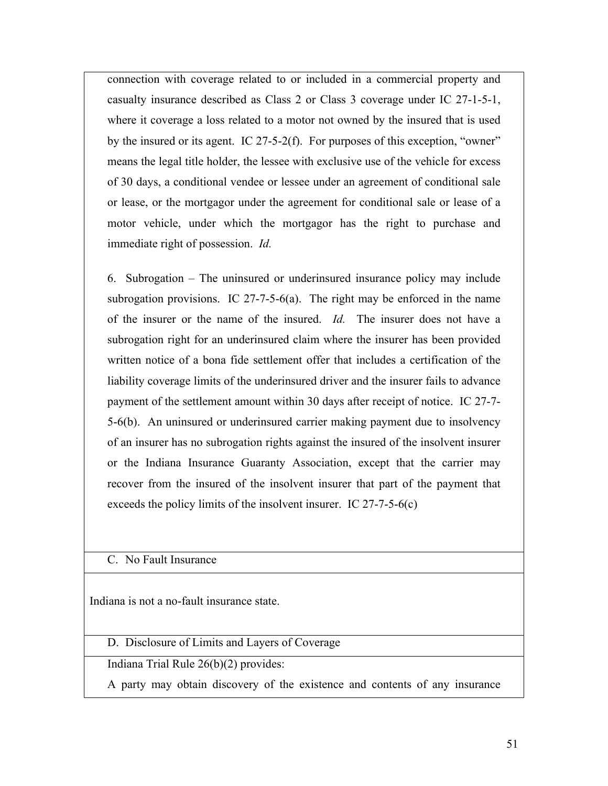connection with coverage related to or included in a commercial property and casualty insurance described as Class 2 or Class 3 coverage under IC 27-1-5-1, where it coverage a loss related to a motor not owned by the insured that is used by the insured or its agent. IC 27-5-2(f). For purposes of this exception, "owner" means the legal title holder, the lessee with exclusive use of the vehicle for excess of 30 days, a conditional vendee or lessee under an agreement of conditional sale or lease, or the mortgagor under the agreement for conditional sale or lease of a motor vehicle, under which the mortgagor has the right to purchase and immediate right of possession. *Id.*

6. Subrogation – The uninsured or underinsured insurance policy may include subrogation provisions. IC 27-7-5-6(a). The right may be enforced in the name of the insurer or the name of the insured. *Id.* The insurer does not have a subrogation right for an underinsured claim where the insurer has been provided written notice of a bona fide settlement offer that includes a certification of the liability coverage limits of the underinsured driver and the insurer fails to advance payment of the settlement amount within 30 days after receipt of notice. IC 27-7- 5-6(b). An uninsured or underinsured carrier making payment due to insolvency of an insurer has no subrogation rights against the insured of the insolvent insurer or the Indiana Insurance Guaranty Association, except that the carrier may recover from the insured of the insolvent insurer that part of the payment that exceeds the policy limits of the insolvent insurer. IC 27-7-5-6(c)

### C. No Fault Insurance

Indiana is not a no-fault insurance state.

D. Disclosure of Limits and Layers of Coverage

Indiana Trial Rule 26(b)(2) provides:

A party may obtain discovery of the existence and contents of any insurance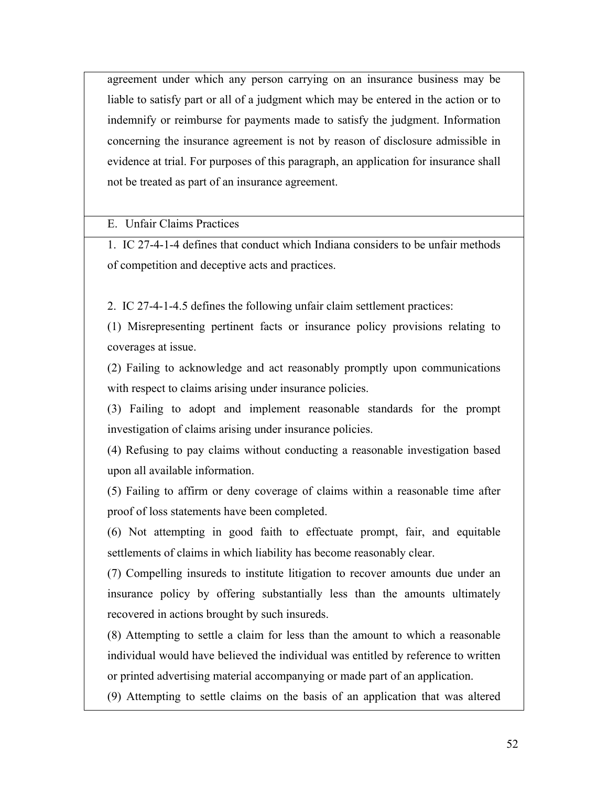agreement under which any person carrying on an insurance business may be liable to satisfy part or all of a judgment which may be entered in the action or to indemnify or reimburse for payments made to satisfy the judgment. Information concerning the insurance agreement is not by reason of disclosure admissible in evidence at trial. For purposes of this paragraph, an application for insurance shall not be treated as part of an insurance agreement.

E. Unfair Claims Practices

1. IC 27-4-1-4 defines that conduct which Indiana considers to be unfair methods of competition and deceptive acts and practices.

2. IC 27-4-1-4.5 defines the following unfair claim settlement practices:

(1) Misrepresenting pertinent facts or insurance policy provisions relating to coverages at issue.

(2) Failing to acknowledge and act reasonably promptly upon communications with respect to claims arising under insurance policies.

(3) Failing to adopt and implement reasonable standards for the prompt investigation of claims arising under insurance policies.

(4) Refusing to pay claims without conducting a reasonable investigation based upon all available information.

(5) Failing to affirm or deny coverage of claims within a reasonable time after proof of loss statements have been completed.

(6) Not attempting in good faith to effectuate prompt, fair, and equitable settlements of claims in which liability has become reasonably clear.

(7) Compelling insureds to institute litigation to recover amounts due under an insurance policy by offering substantially less than the amounts ultimately recovered in actions brought by such insureds.

(8) Attempting to settle a claim for less than the amount to which a reasonable individual would have believed the individual was entitled by reference to written or printed advertising material accompanying or made part of an application.

(9) Attempting to settle claims on the basis of an application that was altered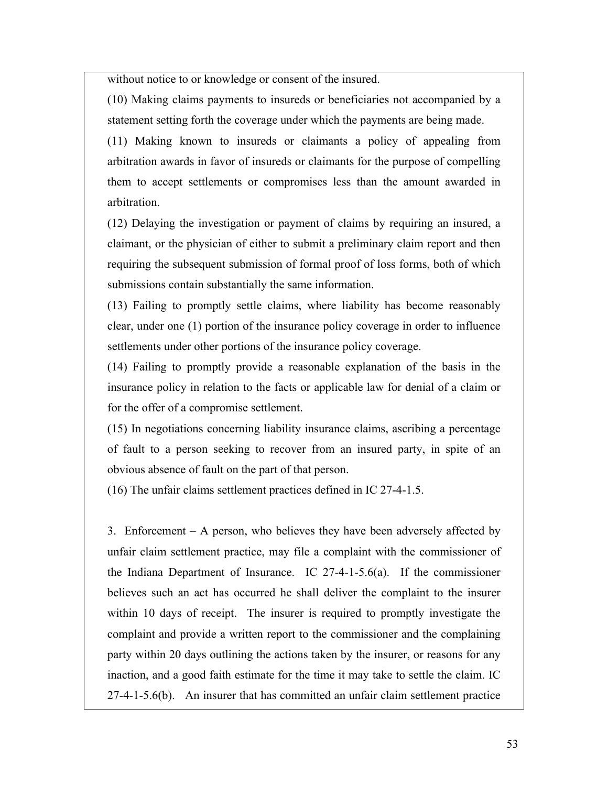without notice to or knowledge or consent of the insured.

(10) Making claims payments to insureds or beneficiaries not accompanied by a statement setting forth the coverage under which the payments are being made.

(11) Making known to insureds or claimants a policy of appealing from arbitration awards in favor of insureds or claimants for the purpose of compelling them to accept settlements or compromises less than the amount awarded in arbitration.

(12) Delaying the investigation or payment of claims by requiring an insured, a claimant, or the physician of either to submit a preliminary claim report and then requiring the subsequent submission of formal proof of loss forms, both of which submissions contain substantially the same information.

(13) Failing to promptly settle claims, where liability has become reasonably clear, under one (1) portion of the insurance policy coverage in order to influence settlements under other portions of the insurance policy coverage.

(14) Failing to promptly provide a reasonable explanation of the basis in the insurance policy in relation to the facts or applicable law for denial of a claim or for the offer of a compromise settlement.

(15) In negotiations concerning liability insurance claims, ascribing a percentage of fault to a person seeking to recover from an insured party, in spite of an obvious absence of fault on the part of that person.

(16) The unfair claims settlement practices defined in IC 27-4-1.5.

3. Enforcement – A person, who believes they have been adversely affected by unfair claim settlement practice, may file a complaint with the commissioner of the Indiana Department of Insurance. IC 27-4-1-5.6(a). If the commissioner believes such an act has occurred he shall deliver the complaint to the insurer within 10 days of receipt. The insurer is required to promptly investigate the complaint and provide a written report to the commissioner and the complaining party within 20 days outlining the actions taken by the insurer, or reasons for any inaction, and a good faith estimate for the time it may take to settle the claim. IC 27-4-1-5.6(b). An insurer that has committed an unfair claim settlement practice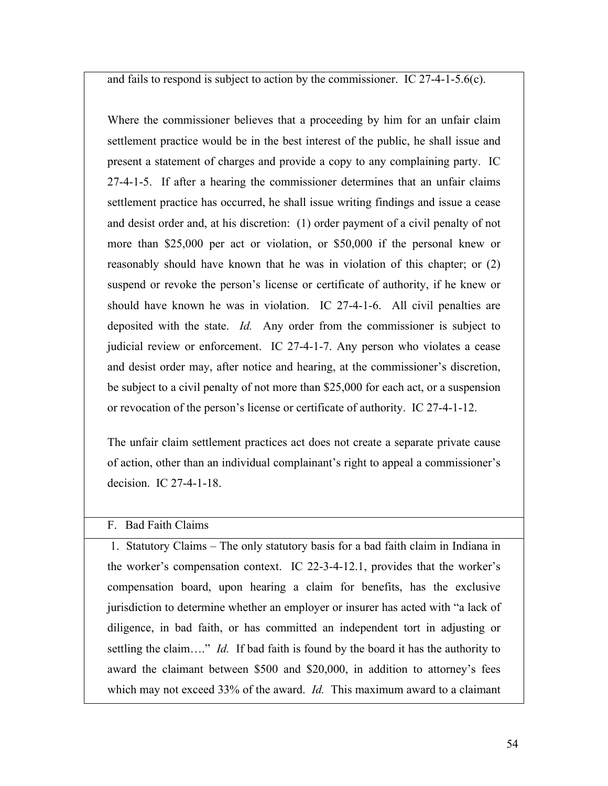and fails to respond is subject to action by the commissioner. IC 27-4-1-5.6(c).

Where the commissioner believes that a proceeding by him for an unfair claim settlement practice would be in the best interest of the public, he shall issue and present a statement of charges and provide a copy to any complaining party. IC 27-4-1-5. If after a hearing the commissioner determines that an unfair claims settlement practice has occurred, he shall issue writing findings and issue a cease and desist order and, at his discretion: (1) order payment of a civil penalty of not more than \$25,000 per act or violation, or \$50,000 if the personal knew or reasonably should have known that he was in violation of this chapter; or (2) suspend or revoke the person's license or certificate of authority, if he knew or should have known he was in violation. IC 27-4-1-6. All civil penalties are deposited with the state. *Id.* Any order from the commissioner is subject to judicial review or enforcement. IC 27-4-1-7. Any person who violates a cease and desist order may, after notice and hearing, at the commissioner's discretion, be subject to a civil penalty of not more than \$25,000 for each act, or a suspension or revocation of the person's license or certificate of authority. IC 27-4-1-12.

The unfair claim settlement practices act does not create a separate private cause of action, other than an individual complainant's right to appeal a commissioner's decision. IC 27-4-1-18.

### F. Bad Faith Claims

1. Statutory Claims – The only statutory basis for a bad faith claim in Indiana in the worker's compensation context. IC 22-3-4-12.1, provides that the worker's compensation board, upon hearing a claim for benefits, has the exclusive jurisdiction to determine whether an employer or insurer has acted with "a lack of diligence, in bad faith, or has committed an independent tort in adjusting or settling the claim…." *Id.* If bad faith is found by the board it has the authority to award the claimant between \$500 and \$20,000, in addition to attorney's fees which may not exceed 33% of the award. *Id.* This maximum award to a claimant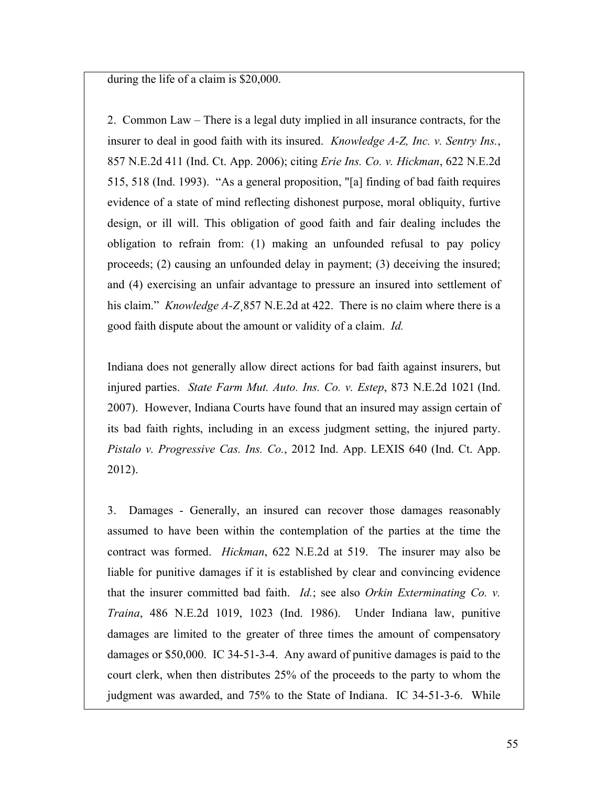during the life of a claim is \$20,000.

2. Common Law – There is a legal duty implied in all insurance contracts, for the insurer to deal in good faith with its insured. *Knowledge A-Z, Inc. v. Sentry Ins.*, 857 N.E.2d 411 (Ind. Ct. App. 2006); citing *Erie Ins. Co. v. Hickman*, 622 N.E.2d 515, 518 (Ind. 1993). "As a general proposition, "[a] finding of bad faith requires evidence of a state of mind reflecting dishonest purpose, moral obliquity, furtive design, or ill will. This obligation of good faith and fair dealing includes the obligation to refrain from: (1) making an unfounded refusal to pay policy proceeds; (2) causing an unfounded delay in payment; (3) deceiving the insured; and (4) exercising an unfair advantage to pressure an insured into settlement of his claim." *Knowledge A-Z* 857 N.E.2d at 422. There is no claim where there is a good faith dispute about the amount or validity of a claim. *Id.*

Indiana does not generally allow direct actions for bad faith against insurers, but injured parties. *State Farm Mut. Auto. Ins. Co. v. Estep*, 873 N.E.2d 1021 (Ind. 2007). However, Indiana Courts have found that an insured may assign certain of its bad faith rights, including in an excess judgment setting, the injured party. *Pistalo v. Progressive Cas. Ins. Co.*, 2012 Ind. App. LEXIS 640 (Ind. Ct. App. 2012).

3. Damages - Generally, an insured can recover those damages reasonably assumed to have been within the contemplation of the parties at the time the contract was formed. *Hickman*, 622 N.E.2d at 519. The insurer may also be liable for punitive damages if it is established by clear and convincing evidence that the insurer committed bad faith. *Id.*; see also *Orkin Exterminating Co. v. Traina*, 486 N.E.2d 1019, 1023 (Ind. 1986). Under Indiana law, punitive damages are limited to the greater of three times the amount of compensatory damages or \$50,000. IC 34-51-3-4. Any award of punitive damages is paid to the court clerk, when then distributes 25% of the proceeds to the party to whom the judgment was awarded, and 75% to the State of Indiana. IC 34-51-3-6. While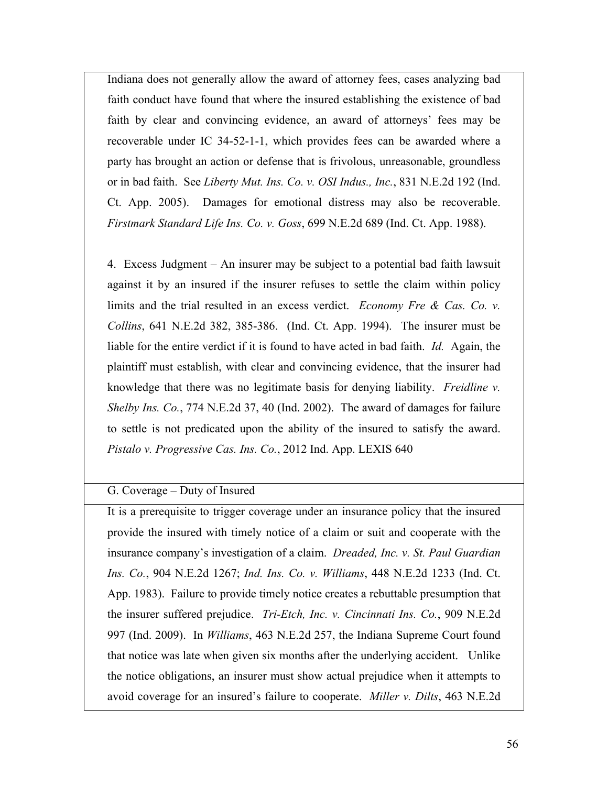Indiana does not generally allow the award of attorney fees, cases analyzing bad faith conduct have found that where the insured establishing the existence of bad faith by clear and convincing evidence, an award of attorneys' fees may be recoverable under IC 34-52-1-1, which provides fees can be awarded where a party has brought an action or defense that is frivolous, unreasonable, groundless or in bad faith. See *Liberty Mut. Ins. Co. v. OSI Indus., Inc.*, 831 N.E.2d 192 (Ind. Ct. App. 2005). Damages for emotional distress may also be recoverable. *Firstmark Standard Life Ins. Co. v. Goss*, 699 N.E.2d 689 (Ind. Ct. App. 1988).

4. Excess Judgment – An insurer may be subject to a potential bad faith lawsuit against it by an insured if the insurer refuses to settle the claim within policy limits and the trial resulted in an excess verdict. *Economy Fre & Cas. Co. v. Collins*, 641 N.E.2d 382, 385-386. (Ind. Ct. App. 1994). The insurer must be liable for the entire verdict if it is found to have acted in bad faith. *Id.* Again, the plaintiff must establish, with clear and convincing evidence, that the insurer had knowledge that there was no legitimate basis for denying liability. *Freidline v. Shelby Ins. Co.*, 774 N.E.2d 37, 40 (Ind. 2002). The award of damages for failure to settle is not predicated upon the ability of the insured to satisfy the award. *Pistalo v. Progressive Cas. Ins. Co.*, 2012 Ind. App. LEXIS 640

G. Coverage – Duty of Insured

It is a prerequisite to trigger coverage under an insurance policy that the insured provide the insured with timely notice of a claim or suit and cooperate with the insurance company's investigation of a claim. *Dreaded, Inc. v. St. Paul Guardian Ins. Co.*, 904 N.E.2d 1267; *Ind. Ins. Co. v. Williams*, 448 N.E.2d 1233 (Ind. Ct. App. 1983). Failure to provide timely notice creates a rebuttable presumption that the insurer suffered prejudice. *Tri-Etch, Inc. v. Cincinnati Ins. Co.*, 909 N.E.2d 997 (Ind. 2009). In *Williams*, 463 N.E.2d 257, the Indiana Supreme Court found that notice was late when given six months after the underlying accident. Unlike the notice obligations, an insurer must show actual prejudice when it attempts to avoid coverage for an insured's failure to cooperate. *Miller v. Dilts*, 463 N.E.2d